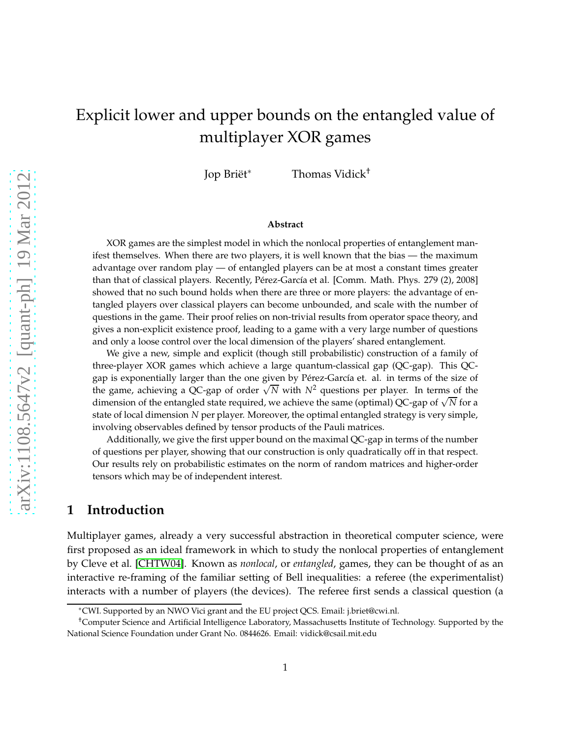# Explicit lower and upper bounds on the entangled value of multiplayer XOR games

Jop Briët<sup>∗</sup> Thomas Vidick†

#### **Abstract**

XOR games are the simplest model in which the nonlocal properties of entanglement manifest themselves. When there are two players, it is well known that the bias — the maximum advantage over random play — of entangled players can be at most a constant times greater than that of classical players. Recently, Pérez-García et al. [Comm. Math. Phys. 279 (2), 2008] showed that no such bound holds when there are three or more players: the advantage of entangled players over classical players can become unbounded, and scale with the number of questions in the game. Their proof relies on non-trivial results from operator space theory, and gives a non-explicit existence proof, leading to a game with a very large number of questions and only a loose control over the local dimension of the players' shared entanglement.

We give a new, simple and explicit (though still probabilistic) construction of a family of three-player XOR games which achieve a large quantum-classical gap (QC-gap). This QCgap is exponentially larger than the one given by Pérez-García et. al. in terms of the size of the game, achieving a QC-gap of order  $\sqrt{N}$  with  $N^2$  questions per player. In terms of the dimension of the entangled state required, we achieve the same (optimal) QC-gap of <sup>√</sup> *N* for a state of local dimension *N* per player. Moreover, the optimal entangled strategy is very simple, involving observables defined by tensor products of the Pauli matrices.

Additionally, we give the first upper bound on the maximal QC-gap in terms of the number of questions per player, showing that our construction is only quadratically off in that respect. Our results rely on probabilistic estimates on the norm of random matrices and higher-order tensors which may be of independent interest.

# **1 Introduction**

Multiplayer games, already a very successful abstraction in theoretical computer science, were first proposed as an ideal framework in which to study the nonlocal properties of entanglement by Cleve et al. [\[CHTW04\]](#page-25-0). Known as *nonlocal*, or *entangled*, games, they can be thought of as an interactive re-framing of the familiar setting of Bell inequalities: a referee (the experimentalist) interacts with a number of players (the devices). The referee first sends a classical question (a

<sup>∗</sup>CWI. Supported by an NWO Vici grant and the EU project QCS. Email: j.briet@cwi.nl.

<sup>†</sup>Computer Science and Artificial Intelligence Laboratory, Massachusetts Institute of Technology. Supported by the National Science Foundation under Grant No. 0844626. Email: vidick@csail.mit.edu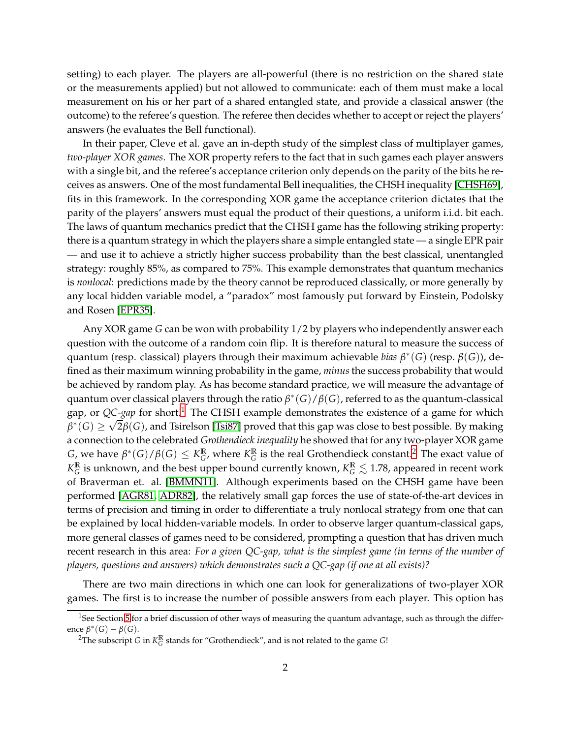setting) to each player. The players are all-powerful (there is no restriction on the shared state or the measurements applied) but not allowed to communicate: each of them must make a local measurement on his or her part of a shared entangled state, and provide a classical answer (the outcome) to the referee's question. The referee then decides whether to accept or reject the players' answers (he evaluates the Bell functional).

In their paper, Cleve et al. gave an in-depth study of the simplest class of multiplayer games, *two-player XOR games*. The XOR property refers to the fact that in such games each player answers with a single bit, and the referee's acceptance criterion only depends on the parity of the bits he receives as answers. One of the most fundamental Bell inequalities, the CHSH inequality [\[CHSH69\]](#page-25-1), fits in this framework. In the corresponding XOR game the acceptance criterion dictates that the parity of the players' answers must equal the product of their questions, a uniform i.i.d. bit each. The laws of quantum mechanics predict that the CHSH game has the following striking property: there is a quantum strategy in which the players share a simple entangled state — a single EPR pair — and use it to achieve a strictly higher success probability than the best classical, unentangled strategy: roughly 85%, as compared to 75%. This example demonstrates that quantum mechanics is *nonlocal*: predictions made by the theory cannot be reproduced classically, or more generally by any local hidden variable model, a "paradox" most famously put forward by Einstein, Podolsky and Rosen [\[EPR35\]](#page-25-2).

Any XOR game *G* can be won with probability 1/2 by players who independently answer each question with the outcome of a random coin flip. It is therefore natural to measure the success of quantum (resp. classical) players through their maximum achievable *bias β* ∗ (*G*) (resp. *β*(*G*)), defined as their maximum winning probability in the game, *minus*the success probability that would be achieved by random play. As has become standard practice, we will measure the advantage of quantum over classical players through the ratio *β* ∗ (*G*)/*β*(*G*), referred to as the quantum-classical gap, or *QC-gap* for short.<sup>[1](#page-1-0)</sup> The CHSH example demonstrates the existence of a game for which  $\beta^*(G) \ge \sqrt{2\beta}(G)$ , and Tsirelson [\[Tsi87\]](#page-26-0) proved that this gap was close to best possible. By making a connection to the celebrated *Grothendieck inequality* he showed that for any two-player XOR game  $G$ , we have  $\beta^*(G)/\beta(G) \leq K_G^{\mathbb{R}}$  $_{G}^{\mathbb{R}}$ , where  $K_G^{\mathbb{R}}$  $_G^{\mathbb{R}}$  is the real Grothendieck constant.<sup>[2](#page-1-1)</sup> The exact value of *K* **R**  $^{\mathbb{R}}_{G}$  is unknown, and the best upper bound currently known,  $K^{\mathbb{R}}_{G}\lesssim1.78$ , appeared in recent work of Braverman et. al. [\[BMMN11\]](#page-25-3). Although experiments based on the CHSH game have been performed [\[AGR81,](#page-25-4) [ADR82\]](#page-24-0), the relatively small gap forces the use of state-of-the-art devices in terms of precision and timing in order to differentiate a truly nonlocal strategy from one that can be explained by local hidden-variable models. In order to observe larger quantum-classical gaps, more general classes of games need to be considered, prompting a question that has driven much recent research in this area: *For a given QC-gap, what is the simplest game (in terms of the number of players, questions and answers) which demonstrates such a QC-gap (if one at all exists)?*

There are two main directions in which one can look for generalizations of two-player XOR games. The first is to increase the number of possible answers from each player. This option has

<sup>&</sup>lt;sup>1</sup>See Section [5](#page-24-1) for a brief discussion of other ways of measuring the quantum advantage, such as through the difference  $\beta^*(G) - \beta(G)$ .

<span id="page-1-1"></span><span id="page-1-0"></span><sup>&</sup>lt;sup>2</sup>The subscript *G* in  $K_G^{\mathbb{R}}$ *G* stands for "Grothendieck", and is not related to the game *G*!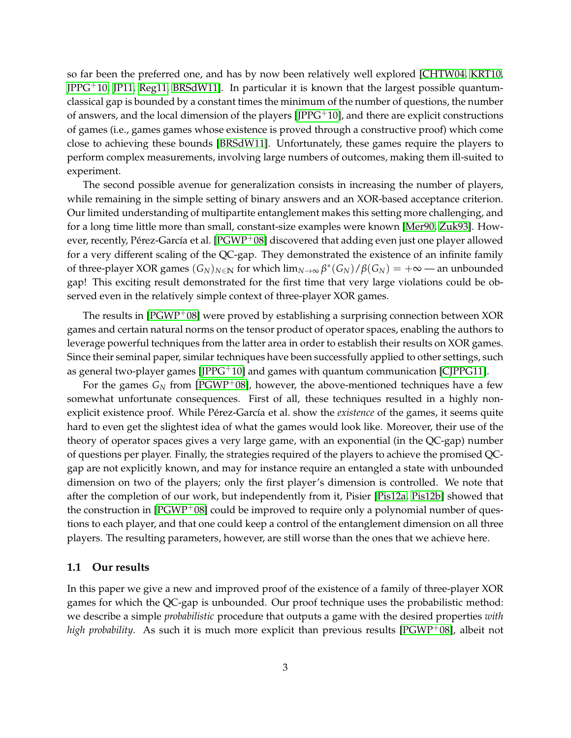so far been the preferred one, and has by now been relatively well explored [\[CHTW04,](#page-25-0) [KRT10,](#page-25-5)  $IPPG<sup>+</sup>10$ ,  $IP11$ ,  $Reg11$ ,  $BRSdW11$ ]. In particular it is known that the largest possible quantumclassical gap is bounded by a constant times the minimum of the number of questions, the number of answers, and the local dimension of the players  $[IPPG<sup>+</sup>10]$ , and there are explicit constructions of games (i.e., games games whose existence is proved through a constructive proof) which come close to achieving these bounds [\[BRSdW11\]](#page-25-8). Unfortunately, these games require the players to perform complex measurements, involving large numbers of outcomes, making them ill-suited to experiment.

The second possible avenue for generalization consists in increasing the number of players, while remaining in the simple setting of binary answers and an XOR-based acceptance criterion. Our limited understanding of multipartite entanglement makes this setting more challenging, and for a long time little more than small, constant-size examples were known [\[Mer90,](#page-26-2) [Zuk93\]](#page-26-3). However, recently, Pérez-García et al. [\[PGWP](#page-26-4)+08] discovered that adding even just one player allowed for a very different scaling of the QC-gap. They demonstrated the existence of an infinite family of three-player XOR games  $(G_N)_{N\in\mathbb{N}}$  for which  $\lim_{N\to\infty}\beta^*(G_N)/\beta(G_N)=+\infty$ —an unbounded gap! This exciting result demonstrated for the first time that very large violations could be observed even in the relatively simple context of three-player XOR games.

The results in  $[PGWP<sup>+</sup>08]$  $[PGWP<sup>+</sup>08]$  were proved by establishing a surprising connection between XOR games and certain natural norms on the tensor product of operator spaces, enabling the authors to leverage powerful techniques from the latter area in order to establish their results on XOR games. Since their seminal paper, similar techniques have been successfully applied to other settings, such as general two-player games  $[IPPG^{+}10]$  and games with quantum communication  $[CIPPG11]$ .

For the games  $G_N$  from [\[PGWP](#page-26-4)<sup>+</sup>08], however, the above-mentioned techniques have a few somewhat unfortunate consequences. First of all, these techniques resulted in a highly nonexplicit existence proof. While Pérez-García et al. show the *existence* of the games, it seems quite hard to even get the slightest idea of what the games would look like. Moreover, their use of the theory of operator spaces gives a very large game, with an exponential (in the QC-gap) number of questions per player. Finally, the strategies required of the players to achieve the promised QCgap are not explicitly known, and may for instance require an entangled a state with unbounded dimension on two of the players; only the first player's dimension is controlled. We note that after the completion of our work, but independently from it, Pisier [\[Pis12a,](#page-26-5) [Pis12b\]](#page-26-6) showed that the construction in [\[PGWP](#page-26-4)+08] could be improved to require only a polynomial number of questions to each player, and that one could keep a control of the entanglement dimension on all three players. The resulting parameters, however, are still worse than the ones that we achieve here.

#### **1.1 Our results**

In this paper we give a new and improved proof of the existence of a family of three-player XOR games for which the QC-gap is unbounded. Our proof technique uses the probabilistic method: we describe a simple *probabilistic* procedure that outputs a game with the desired properties *with high probability*. As such it is much more explicit than previous results [\[PGWP](#page-26-4)<sup>+</sup>08], albeit not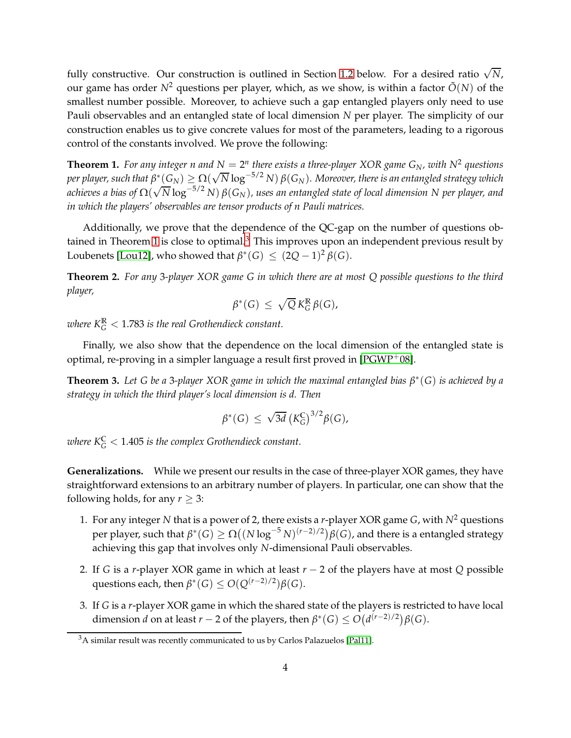fully constructive. Our construction is outlined in Section [1.2](#page-4-0) below. For a desired ratio  $\sqrt{N}$ , our game has order  $N^2$  questions per player, which, as we show, is within a factor  $\tilde{O}(N)$  of the smallest number possible. Moreover, to achieve such a gap entangled players only need to use Pauli observables and an entangled state of local dimension *N* per player. The simplicity of our construction enables us to give concrete values for most of the parameters, leading to a rigorous control of the constants involved. We prove the following:

<span id="page-3-0"></span>**Theorem 1.** For any integer  $n$  and  $N = 2^n$  there exists a three-player XOR game  $G_N$ , with  $N^2$  questions  $p$ er player, such that  $\beta^*(G_N) \ge \Omega(\sqrt{N} \log^{-5/2} N) \beta(G_N)$ . Moreover, there is an entangled strategy which *achieves a bias of* Ω( √ *N* log−5/2 *N*) *β*(*GN*)*, uses an entangled state of local dimension N per player, and in which the players' observables are tensor products of n Pauli matrices.*

Additionally, we prove that the dependence of the QC-gap on the number of questions ob-tained in Theorem [1](#page-3-0) is close to optimal. $3$  This improves upon an independent previous result by Loubenets [\[Lou12\]](#page-26-7), who showed that  $\beta^*(G) \leq (2Q-1)^2 \beta(G)$ .

<span id="page-3-2"></span>**Theorem 2.** *For any* 3*-player XOR game G in which there are at most Q possible questions to the third player,*

$$
\beta^*(G) \leq \sqrt{Q} \, K_G^{\mathbb{R}} \beta(G),
$$

where  $K_{G}^{\mathbb{R}} < 1.783$  is the real Grothendieck constant.

Finally, we also show that the dependence on the local dimension of the entangled state is optimal, re-proving in a simpler language a result first proved in [\[PGWP](#page-26-4)+08].

<span id="page-3-3"></span>**Theorem 3.** *Let G be a* 3*-player XOR game in which the maximal entangled bias β* ∗ (*G*) *is achieved by a strategy in which the third player's local dimension is d. Then*

$$
\beta^*(G) \leq \sqrt{3d} \left( K_G^{\mathbb{C}} \right)^{3/2} \beta(G),
$$

 $\omega$ here K $^{\mathbb{C}}_{G} < 1.405$  is the complex Grothendieck constant.

**Generalizations.** While we present our results in the case of three-player XOR games, they have straightforward extensions to an arbitrary number of players. In particular, one can show that the following holds, for any  $r \geq 3$ :

- 1. For any integer N that is a power of 2, there exists a *r*-player XOR game *G*, with  $N^2$  questions  $\text{per player, such that } \beta^*(G) \ge \Omega\big((N\log^{-5}N)^{(r-2)/2}\big)\beta(G)$ , and there is a entangled strategy achieving this gap that involves only *N*-dimensional Pauli observables.
- 2. If *G* is a *r*-player XOR game in which at least *r* − 2 of the players have at most *Q* possible questions each, then  $\beta^*(G) \le O(Q^{(r-2)/2})\beta(G)$ .
- 3. If *G* is a *r*-player XOR game in which the shared state of the players is restricted to have local dimension *d* on at least *r* − 2 of the players, then  $\beta^*(G) \le O\big(d^{(r-2)/2}\big)\beta(G)$ .

<span id="page-3-1"></span><sup>3</sup>A similar result was recently communicated to us by Carlos Palazuelos [\[Pal11\]](#page-26-8).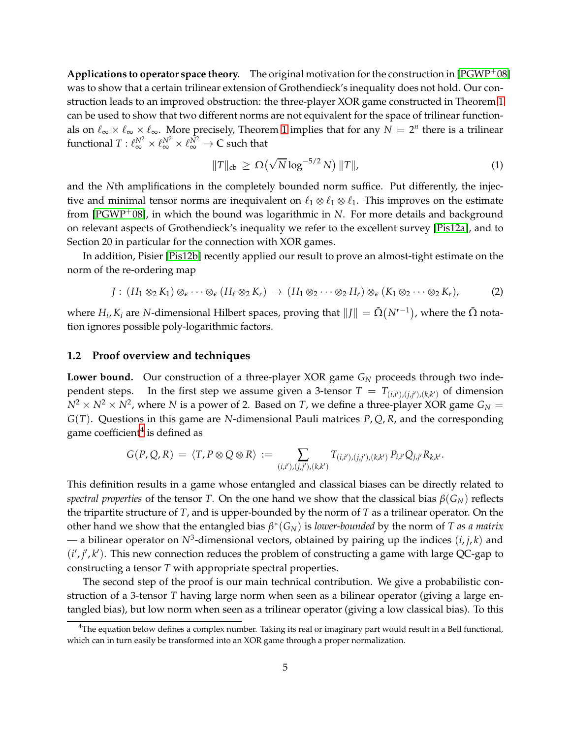**Applications to operator space theory.** The original motivation for the construction in [\[PGWP](#page-26-4)+08] was to show that a certain trilinear extension of Grothendieck's inequality does not hold. Our construction leads to an improved obstruction: the three-player XOR game constructed in Theorem [1](#page-3-0) can be used to show that two different norms are not equivalent for the space of trilinear functionals on  $\ell_{\infty} \times \ell_{\infty} \times \ell_{\infty}$ . More precisely, Theorem [1](#page-3-0) implies that for any  $N = 2^n$  there is a trilinear functional  $T: \ell_{\infty}^{N^2} \times \ell_{\infty}^{N^2} \times \ell_{\infty}^{N^2} \to \mathbb{C}$  such that

$$
||T||_{cb} \geq \Omega\left(\sqrt{N}\log^{-5/2} N\right) ||T||, \tag{1}
$$

and the *N*th amplifications in the completely bounded norm suffice. Put differently, the injective and minimal tensor norms are inequivalent on  $\ell_1 \otimes \ell_1 \otimes \ell_1$ . This improves on the estimate from [\[PGWP](#page-26-4)+08], in which the bound was logarithmic in *N*. For more details and background on relevant aspects of Grothendieck's inequality we refer to the excellent survey [\[Pis12a\]](#page-26-5), and to Section 20 in particular for the connection with XOR games.

In addition, Pisier [\[Pis12b\]](#page-26-6) recently applied our result to prove an almost-tight estimate on the norm of the re-ordering map

$$
J: (H_1 \otimes_2 K_1) \otimes_{\epsilon} \cdots \otimes_{\epsilon} (H_{\ell} \otimes_2 K_r) \rightarrow (H_1 \otimes_2 \cdots \otimes_2 H_r) \otimes_{\epsilon} (K_1 \otimes_2 \cdots \otimes_2 K_r), \tag{2}
$$

where  $H_i$ ,  $K_i$  are *N*-dimensional Hilbert spaces, proving that  $||J|| = \tilde{\Omega}(N^{r-1})$ , where the  $\tilde{\Omega}$  notation ignores possible poly-logarithmic factors.

### <span id="page-4-0"></span>**1.2 Proof overview and techniques**

Lower bound. Our construction of a three-player XOR game  $G_N$  proceeds through two independent steps. In the first step we assume given a 3-tensor  $T = T_{(i,i'),(j,j'),(k,k')}$  of dimension  $N^2 \times N^2 \times N^2$ , where *N* is a power of 2. Based on *T*, we define a three-player XOR game  $G_N =$ *G*(*T*). Questions in this game are *N*-dimensional Pauli matrices *P*, *Q*, *R*, and the corresponding game coefficient $^4$  $^4$  is defined as

$$
G(P,Q,R) = \langle T, P \otimes Q \otimes R \rangle := \sum_{(i,i'),(j,j'),(k,k')} T_{(i,i'),(j,j'),(k,k')} P_{i,i'} Q_{j,j'} R_{k,k'}.
$$

This definition results in a game whose entangled and classical biases can be directly related to *spectral properties* of the tensor *T*. On the one hand we show that the classical bias *β*(*GN*) reflects the tripartite structure of *T*, and is upper-bounded by the norm of *T* as a trilinear operator. On the other hand we show that the entangled bias *β* ∗ (*GN*) is *lower-bounded* by the norm of *T as a matrix*  $-$  a bilinear operator on  $N^3$ -dimensional vectors, obtained by pairing up the indices  $(i, j, k)$  and  $(i',j',k')$ . This new connection reduces the problem of constructing a game with large QC-gap to constructing a tensor *T* with appropriate spectral properties.

The second step of the proof is our main technical contribution. We give a probabilistic construction of a 3-tensor *T* having large norm when seen as a bilinear operator (giving a large entangled bias), but low norm when seen as a trilinear operator (giving a low classical bias). To this

<span id="page-4-1"></span> $4$ The equation below defines a complex number. Taking its real or imaginary part would result in a Bell functional, which can in turn easily be transformed into an XOR game through a proper normalization.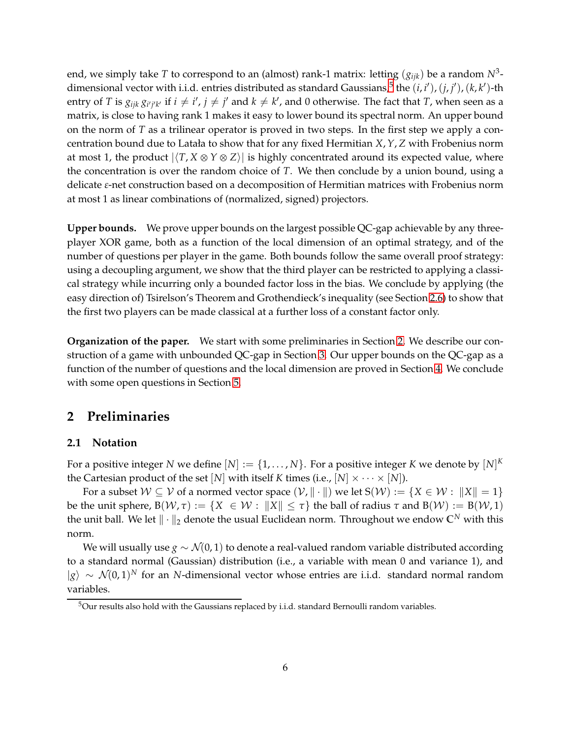end, we simply take *T* to correspond to an (almost) rank-1 matrix: letting  $(g_{ijk})$  be a random  $N^3$ -dimensional vector with i.i.d. entries distributed as standard Gaussians,<sup>[5](#page-5-0)</sup> the  $(i, i'), (j, j'), (k, k')$ -th entry of  $T$  is  $g_{ijk}\,g_{i'j'k'}$  if  $i\neq i', j\neq j'$  and  $k\neq k'$ , and  $0$  otherwise. The fact that  $T$ , when seen as a matrix, is close to having rank 1 makes it easy to lower bound its spectral norm. An upper bound on the norm of *T* as a trilinear operator is proved in two steps. In the first step we apply a concentration bound due to Latała to show that for any fixed Hermitian *X*,*Y*, *Z* with Frobenius norm at most 1, the product  $|\langle T, X \otimes Y \otimes Z \rangle|$  is highly concentrated around its expected value, where the concentration is over the random choice of *T*. We then conclude by a union bound, using a delicate *ε*-net construction based on a decomposition of Hermitian matrices with Frobenius norm at most 1 as linear combinations of (normalized, signed) projectors.

**Upper bounds.** We prove upper bounds on the largest possible QC-gap achievable by any threeplayer XOR game, both as a function of the local dimension of an optimal strategy, and of the number of questions per player in the game. Both bounds follow the same overall proof strategy: using a decoupling argument, we show that the third player can be restricted to applying a classical strategy while incurring only a bounded factor loss in the bias. We conclude by applying (the easy direction of) Tsirelson's Theorem and Grothendieck's inequality (see Section [2.6\)](#page-12-0) to show that the first two players can be made classical at a further loss of a constant factor only.

**Organization of the paper.** We start with some preliminaries in Section [2.](#page-5-1) We describe our construction of a game with unbounded QC-gap in Section [3.](#page-12-1) Our upper bounds on the QC-gap as a function of the number of questions and the local dimension are proved in Section [4.](#page-20-0) We conclude with some open questions in Section [5.](#page-24-1)

## <span id="page-5-1"></span>**2 Preliminaries**

### **2.1 Notation**

For a positive integer  $N$  we define  $[N]:=\{1,\ldots,N\}.$  For a positive integer  $K$  we denote by  $[N]^K$ the Cartesian product of the set  $[N]$  with itself *K* times (i.e.,  $[N] \times \cdots \times [N]$ ).

For a subset  $W \subseteq V$  of a normed vector space  $(V, \|\cdot\|)$  we let  $S(W) := \{X \in W : \|X\| = 1\}$ be the unit sphere,  $B(W, \tau) := \{ X \in W : ||X|| \leq \tau \}$  the ball of radius  $\tau$  and  $B(W) := B(W, 1)$ the unit ball. We let  $\|\cdot\|_2$  denote the usual Euclidean norm. Throughout we endow  $\mathbb{C}^N$  with this norm.

We will usually use *g* ∼  $\mathcal{N}(0, 1)$  to denote a real-valued random variable distributed according to a standard normal (Gaussian) distribution (i.e., a variable with mean 0 and variance 1), and |*g*i ∼ N(0, 1) *<sup>N</sup>* for an *N*-dimensional vector whose entries are i.i.d. standard normal random variables.

<span id="page-5-0"></span> $5$ Our results also hold with the Gaussians replaced by i.i.d. standard Bernoulli random variables.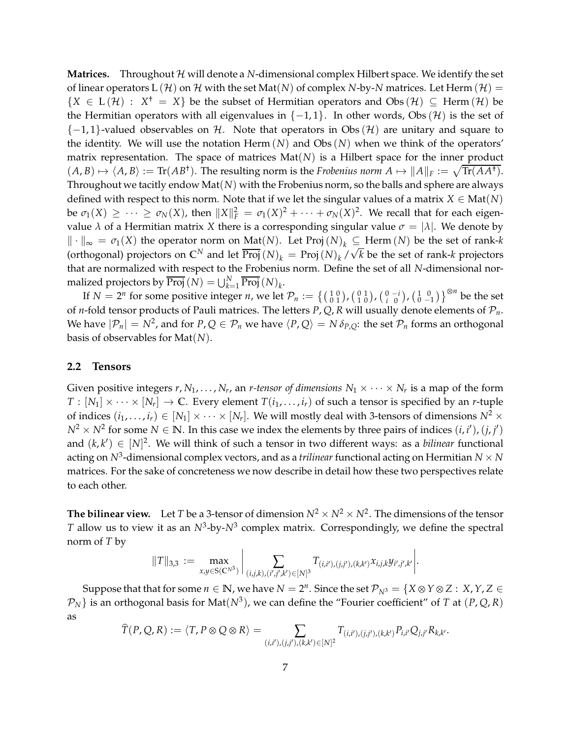**Matrices.** Throughout  $\mathcal{H}$  will denote a *N*-dimensional complex Hilbert space. We identify the set of linear operators L  $(H)$  on H with the set Mat $(N)$  of complex *N*-by-*N* matrices. Let Herm  $(H)$  =  ${X \in L(\mathcal{H}) : X^{\dagger} = X}$  be the subset of Hermitian operators and Obs  $(\mathcal{H}) \subseteq \text{Herm}(\mathcal{H})$  be the Hermitian operators with all eigenvalues in  $\{-1,1\}$ . In other words, Obs  $(\mathcal{H})$  is the set of  $\{-1,1\}$ -valued observables on H. Note that operators in Obs  $(\mathcal{H})$  are unitary and square to the identity. We will use the notation Herm  $(N)$  and Obs  $(N)$  when we think of the operators' matrix representation. The space of matrices Mat(*N*) is a Hilbert space for the inner product  $(A, B) \mapsto \langle A, B \rangle := \text{Tr}(AB^{\dagger})$ . The resulting norm is the *Frobenius norm*  $A \mapsto ||A||_F := \sqrt{\text{Tr}(AA^{\dagger})}$ . Throughout we tacitly endow Mat(*N*) with the Frobenius norm, so the balls and sphere are always defined with respect to this norm. Note that if we let the singular values of a matrix  $X \in Mat(N)$ be  $\sigma_1(X) \geq \cdots \geq \sigma_N(X)$ , then  $||X||_F^2 = \sigma_1(X)^2 + \cdots + \sigma_N(X)^2$ . We recall that for each eigenvalue  $\lambda$  of a Hermitian matrix *X* there is a corresponding singular value  $\sigma = |\lambda|$ . We denote by  $\| \cdot \|_{\infty} = \sigma_1(X)$  the operator norm on Mat(*N*). Let Proj(*N*)<sub>*k*</sub> ⊆ Herm (*N*) be the set of rank-*k* (orthogonal) projectors on  $\mathbb{C}^N$  and let  $\overline{\text{Proj}}(N)_k = \text{Proj}(N)_k / \sqrt{k}$  be the set of rank-*k* projectors that are normalized with respect to the Frobenius norm. Define the set of all *N*-dimensional normalized projectors by  $\overline{\text{Proj}}(N) = \bigcup_{k=1}^{N} \overline{\text{Proj}}(N)_k$ .

If  $N = 2^n$  for some positive integer *n*, we let  $\mathcal{P}_n := \{(\begin{smallmatrix} 1 & 0 \\ 0 & 1 \end{smallmatrix}), (\begin{smallmatrix} 0 & 1 \\ 1 & 0 \end{smallmatrix}), (\begin{smallmatrix} 0 & -i \\ i & 0 \end{smallmatrix}), (\begin{smallmatrix} 1 & 0 \\ 0 & -1 \end{smallmatrix})\}^{\otimes n}$  be the set of *n*-fold tensor products of Pauli matrices. The letters  $P$ ,  $Q$ ,  $R$  will usually denote elements of  $P_n$ . We have  $|\mathcal{P}_n| = N^2$ , and for  $P$ ,  $Q \in \mathcal{P}_n$  we have  $\langle P, Q \rangle = N \delta_{P,Q}$ : the set  $\mathcal{P}_n$  forms an orthogonal basis of observables for Mat(*N*).

### **2.2 Tensors**

Given positive integers  $r, N_1, \ldots, N_r$ , an *r-tensor of dimensions*  $N_1 \times \cdots \times N_r$  is a map of the form  $T : [N_1] \times \cdots \times [N_r] \rightarrow \mathbb{C}$ . Every element  $T(i_1, \ldots, i_r)$  of such a tensor is specified by an *r*-tuple of indices  $(i_1, ..., i_r) \in [N_1] \times \cdots \times [N_r]$ . We will mostly deal with 3-tensors of dimensions  $N^2 \times$  $N^2 \times N^2$  for some  $N \in \mathbb{N}$ . In this case we index the elements by three pairs of indices  $(i, i'), (j, j')$ and  $(k, k') \in [N]^2$ . We will think of such a tensor in two different ways: as a *bilinear* functional acting on  $N^3$ -dimensional complex vectors, and as a *trilinear* functional acting on Hermitian  $N \times N$ matrices. For the sake of concreteness we now describe in detail how these two perspectives relate to each other.

**The bilinear view.** Let *T* be a 3-tensor of dimension  $N^2 \times N^2 \times N^2$ . The dimensions of the tensor *T* allow us to view it as an  $N^3$ -by- $N^3$  complex matrix. Correspondingly, we define the spectral norm of *T* by

$$
||T||_{3,3} := \max_{x,y \in S(\mathbb{C}^{N^3})} \left| \sum_{(i,j,k),(i',j',k') \in [N]^3} T_{(i,i'),(j,j'),(k,k')} x_{i,j,k} y_{i',j',k'} \right|.
$$

Suppose that that for some  $n \in \mathbb{N}$ , we have  $N = 2^n$ . Since the set  $\mathcal{P}_{N^3} = \{X \otimes Y \otimes Z : X, Y, Z \in \mathbb{N}\}$  $\mathcal{P}_N$ } is an orthogonal basis for Mat $(N^3)$ , we can define the "Fourier coefficient" of *T* at  $(P,Q,R)$ as

$$
\widehat{T}(P,Q,R):=\langle T,P\otimes Q\otimes R\rangle=\sum_{(i,i'),(j,j'),(k,k')\in[N]^2}T_{(i,i'),(j,j'),(k,k')}P_{i,i'}Q_{j,j'}R_{k,k'}.
$$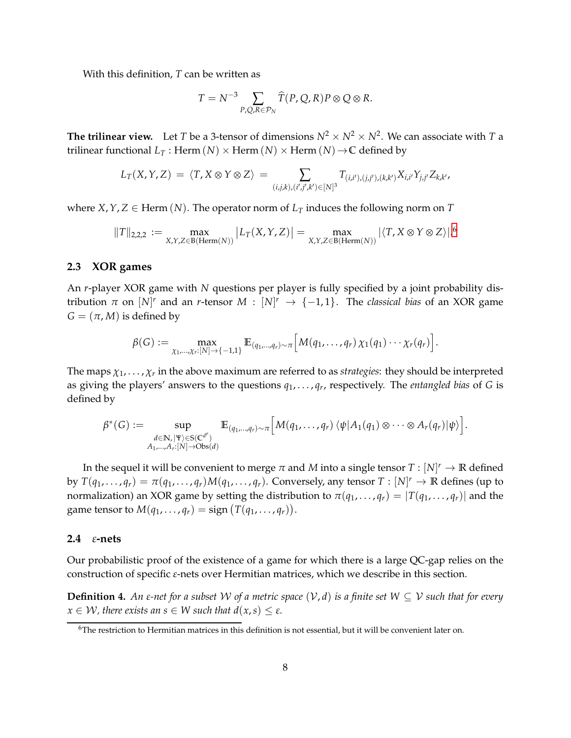With this definition, *T* can be written as

$$
T = N^{-3} \sum_{P,Q,R \in \mathcal{P}_N} \widehat{T}(P,Q,R) P \otimes Q \otimes R.
$$

**The trilinear view.** Let *T* be a 3-tensor of dimensions  $N^2 \times N^2 \times N^2$ . We can associate with *T* a trilinear functional  $L_T$ : Herm  $(N) \times$  Herm  $(N) \times$  Herm  $(N) \rightarrow \mathbb{C}$  defined by

$$
L_T(X,Y,Z) = \langle T, X \otimes Y \otimes Z \rangle = \sum_{(i,j,k),(i',j',k') \in [N]^3} T_{(i,i'),(j,j'),(k,k')} X_{i,i'} Y_{j,j'} Z_{k,k'},
$$

where  $X, Y, Z \in \text{Herm}(N)$ . The operator norm of  $L_T$  induces the following norm on T

$$
||T||_{2,2,2} := \max_{X,Y,Z \in B(\text{Herm}(N))} |L_T(X,Y,Z)| = \max_{X,Y,Z \in B(\text{Herm}(N))} |\langle T, X \otimes Y \otimes Z \rangle|^{6}
$$

### **2.3 XOR games**

An *r*-player XOR game with *N* questions per player is fully specified by a joint probability distribution  $\pi$  on  $[N]^r$  and an *r*-tensor  $M : [N]^r \rightarrow \{-1,1\}$ . The *classical bias* of an XOR game  $G = (\pi, M)$  is defined by

$$
\beta(G) := \max_{\chi_1,\ldots,\chi_r:[N] \to \{-1,1\}} \mathbb{E}_{(q_1,\ldots,q_r) \sim \pi} \Big[ M(q_1,\ldots,q_r) \chi_1(q_1) \cdots \chi_r(q_r) \Big].
$$

The maps  $\chi_1,\ldots,\chi_r$  in the above maximum are referred to as strategies: they should be interpreted as giving the players' answers to the questions *q*1, . . . , *q<sup>r</sup>* , respectively. The *entangled bias* of *G* is defined by

$$
\beta^*(G) := \sup_{\substack{d \in \mathbb{N}, |\Psi\rangle \in S(\mathbb{C}^{d^r}) \\ A_1, \dots, A_r : [N] \to \text{Obs}(d)}} \mathbb{E}_{(q_1, \dots, q_r) \sim \pi} \Big[ M(q_1, \dots, q_r) \, \langle \psi | A_1(q_1) \otimes \dots \otimes A_r(q_r) | \psi \rangle \Big].
$$

In the sequel it will be convenient to merge  $\pi$  and  $M$  into a single tensor  $T : [N]^r \to \mathbb{R}$  defined by  $T(q_1, \ldots, q_r) = \pi(q_1, \ldots, q_r)M(q_1, \ldots, q_r)$ . Conversely, any tensor  $T : [N]^r \to \mathbb{R}$  defines (up to normalization) an XOR game by setting the distribution to  $\pi(q_1, \ldots, q_r) = |T(q_1, \ldots, q_r)|$  and the game tensor to  $M(q_1, \ldots, q_r) = \text{sign}(T(q_1, \ldots, q_r)).$ 

### **2.4** *ε***-nets**

Our probabilistic proof of the existence of a game for which there is a large QC-gap relies on the construction of specific *ε*-nets over Hermitian matrices, which we describe in this section.

**Definition 4.** An *ε*-net for a subset W of a metric space  $(V, d)$  is a finite set  $W \subseteq V$  such that for every  $x \in \mathcal{W}$ , there exists an  $s \in \mathcal{W}$  such that  $d(x, s) \leq \varepsilon$ .

<span id="page-7-0"></span><sup>&</sup>lt;sup>6</sup>The restriction to Hermitian matrices in this definition is not essential, but it will be convenient later on.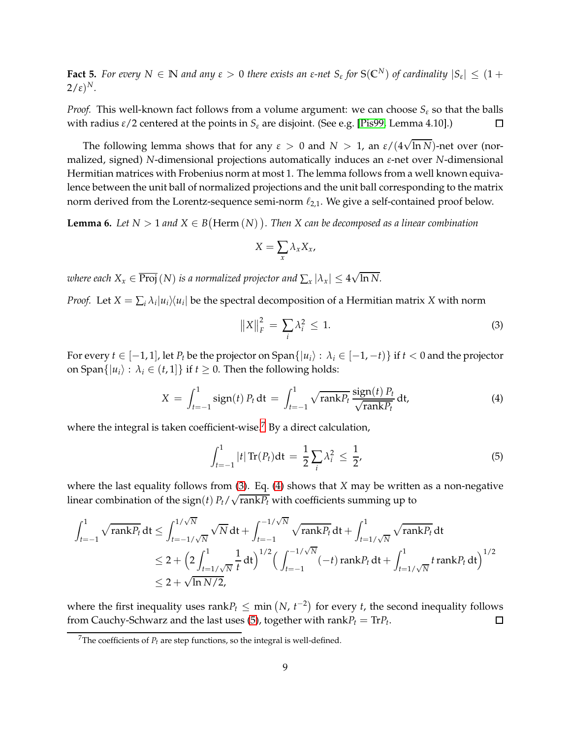<span id="page-8-4"></span>**Fact 5.** For every  $N \in \mathbb{N}$  and any  $\varepsilon > 0$  there exists an  $\varepsilon$ -net  $S_{\varepsilon}$  for  $S(\mathbb{C}^N)$  of cardinality  $|S_{\varepsilon}| \leq (1 +$  $2/\varepsilon)^N$ .

*Proof.* This well-known fact follows from a volume argument: we can choose *S<sup>ε</sup>* so that the balls with radius *ε*/2 centered at the points in *S<sup>ε</sup>* are disjoint. (See e.g. [\[Pis99,](#page-26-9) Lemma 4.10].)  $\Box$ 

The following lemma shows that for any  $\varepsilon > 0$  and  $N > 1$ , an  $\varepsilon/(4\sqrt{\ln N})$ -net over (normalized, signed) *N*-dimensional projections automatically induces an *ε*-net over *N*-dimensional Hermitian matrices with Frobenius norm at most 1. The lemma follows from a well known equivalence between the unit ball of normalized projections and the unit ball corresponding to the matrix norm derived from the Lorentz-sequence semi-norm  $\ell_{2,1}$ . We give a self-contained proof below.

<span id="page-8-5"></span>**Lemma 6.** Let  $N > 1$  and  $X \in B(\text{Herm}(N))$ . Then X can be decomposed as a linear combination

$$
X=\sum_{x}\lambda_{x}X_{x},
$$

*where each*  $X_x \in \overline{\mathrm{Proj}}\,(N)$  *<i>is a normalized projector and*  $\sum_x |\lambda_x| \leq 4\sqrt{\ln N}.$ 

*Proof.* Let  $X = \sum_i \lambda_i |u_i\rangle\langle u_i|$  be the spectral decomposition of a Hermitian matrix X with norm

<span id="page-8-1"></span>
$$
\left\|X\right\|_{F}^{2} = \sum_{i} \lambda_{i}^{2} \le 1. \tag{3}
$$

For every  $t \in [-1, 1]$ , let  $P_t$  be the projector on Span $\{|u_i\rangle : \lambda_i \in [-1, -t)\}$  if  $t < 0$  and the projector on Span $\{|u_i\rangle : \lambda_i \in (t,1]\}$  if  $t \geq 0$ . Then the following holds:

<span id="page-8-2"></span>
$$
X = \int_{t=-1}^{1} \operatorname{sign}(t) P_t dt = \int_{t=-1}^{1} \sqrt{\operatorname{rank} P_t} \frac{\operatorname{sign}(t) P_t}{\sqrt{\operatorname{rank} P_t}} dt,
$$
(4)

where the integral is taken coefficient-wise.<sup>[7](#page-8-0)</sup> By a direct calculation,

<span id="page-8-3"></span>
$$
\int_{t=-1}^{1} |t| \operatorname{Tr}(P_t) dt = \frac{1}{2} \sum_{i} \lambda_i^2 \le \frac{1}{2},
$$
 (5)

where the last equality follows from [\(3\)](#page-8-1). Eq. [\(4\)](#page-8-2) shows that *X* may be written as a non-negative linear combination of the sign(*t*)  $P_t/\sqrt{\text{rank}P_t}$  with coefficients summing up to

$$
\int_{t=-1}^{1} \sqrt{\text{rank} P_t} dt \le \int_{t=-1/\sqrt{N}}^{1/\sqrt{N}} \sqrt{N} dt + \int_{t=-1}^{-1/\sqrt{N}} \sqrt{\text{rank} P_t} dt + \int_{t=1/\sqrt{N}}^{1} \sqrt{\text{rank} P_t} dt
$$
  
\n
$$
\le 2 + \left(2 \int_{t=1/\sqrt{N}}^{1} \frac{1}{t} dt\right)^{1/2} \left(\int_{t=-1}^{-1/\sqrt{N}} (-t) \text{rank} P_t dt + \int_{t=1/\sqrt{N}}^{1} t \text{rank} P_t dt\right)^{1/2}
$$
  
\n
$$
\le 2 + \sqrt{\ln N/2},
$$

where the first inequality uses  $\text{rank}P_t \leq \min(N, t^{-2})$  for every *t*, the second inequality follows from Cauchy-Schwarz and the last uses [\(5\)](#page-8-3), together with  $\mathrm{rank}P_t = \mathrm{Tr}P_t.$  $\Box$ 

<span id="page-8-0"></span><sup>&</sup>lt;sup>7</sup>The coefficients of  $P_t$  are step functions, so the integral is well-defined.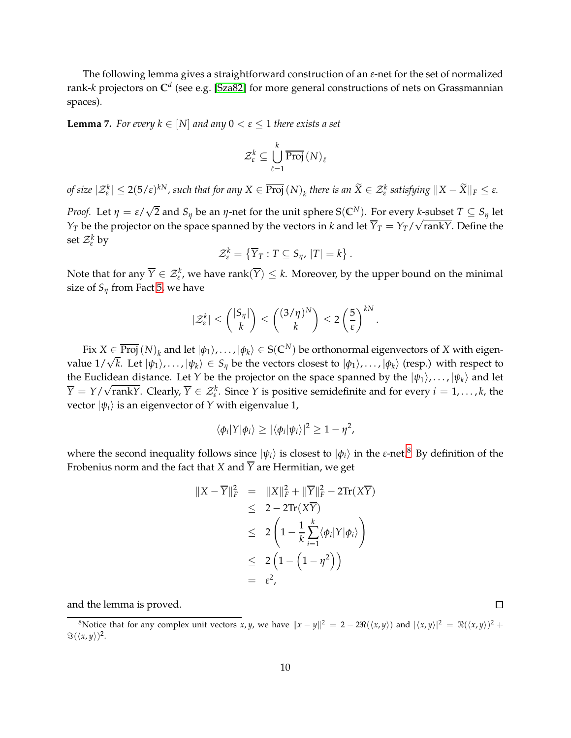The following lemma gives a straightforward construction of an *ε*-net for the set of normalized rank-*k* projectors on **C** *d* (see e.g. [\[Sza82\]](#page-26-10) for more general constructions of nets on Grassmannian spaces).

**Lemma 7.** *For every*  $k \in [N]$  *and any*  $0 < \varepsilon \leq 1$  *there exists a set* 

$$
\mathcal{Z}^k_\varepsilon \subseteq \bigcup_{\ell=1}^k \overline{\operatorname{Proj}}\left(N\right)_\ell
$$

of size  $|\mathcal{Z}_\varepsilon^k| \leq 2(5/\varepsilon)^{kN}$ , such that for any  $X \in \overline{\text{Proj}}(N)_k$  there is an  $\widetilde{X} \in \mathcal{Z}_\varepsilon^k$  satisfying  $\|X - \widetilde{X}\|_F \leq \varepsilon$ .

*Proof.* Let  $\eta = \varepsilon/\sqrt{2}$  and  $S_{\eta}$  be an  $\eta$ -net for the unit sphere S(C<sup>N</sup>). For every *k*-subset  $T \subseteq S_{\eta}$  let *Y*<sup>*T*</sup> be the projector on the space spanned by the vectors in *k* and let  $\overline{Y}_T = Y_T / \sqrt{\text{rank}Y}$ . Define the set Z*<sup>k</sup> <sup>ε</sup>* by

$$
\mathcal{Z}_{\varepsilon}^k = \{ \overline{Y}_T : T \subseteq S_{\eta}, |T| = k \}.
$$

Note that for any  $\overline{Y} \in \mathcal{Z}_{\varepsilon}^k$ , we have rank $(\overline{Y}) \leq k$ . Moreover, by the upper bound on the minimal size of  $S_\eta$  from Fact [5,](#page-8-4) we have

$$
|\mathcal{Z}_{\varepsilon}^{k}| \leq {\binom{|S_{\eta}|}{k}} \leq {\binom{(3/\eta)^N}{k}} \leq 2\left(\frac{5}{\varepsilon}\right)^{kN}.
$$

 $\text{Fix } X\in \overline{\text{Proj}}\left(N\right)_k\text{ and let }|\phi_1\rangle,\ldots,|\phi_k\rangle\in \text{S}(\mathbb{C}^N)$  be orthonormal eigenvectors of  $X$  with eigenvalue  $1/\sqrt{k}$ . Let  $|\psi_1\rangle$ , ...,  $|\psi_k\rangle \in S_\eta$  be the vectors closest to  $|\phi_1\rangle$ , ...,  $|\phi_k\rangle$  (resp.) with respect to the Euclidean distance. Let *Y* be the projector on the space spanned by the  $|\psi_1\rangle, \dots, |\psi_k\rangle$  and let  $\overline{Y} = Y/\sqrt{\text{rank}Y}$ . Clearly,  $\overline{Y} \in \mathcal{Z}_{\varepsilon}^k$ . Since *Y* is positive semidefinite and for every  $i = 1, ..., k$ , the vector  $|\psi_i\rangle$  is an eigenvector of *Y* with eigenvalue 1,

$$
\langle \phi_i | Y | \phi_i \rangle \geq |\langle \phi_i | \psi_i \rangle|^2 \geq 1 - \eta^2,
$$

where the second inequality follows since  $|\psi_i\rangle$  is closest to  $|\phi_i\rangle$  in the *ε*-net.<sup>[8](#page-9-0)</sup> By definition of the Frobenius norm and the fact that *X* and  $\overline{Y}$  are Hermitian, we get

$$
||X - \overline{Y}||_F^2 = ||X||_F^2 + ||\overline{Y}||_F^2 - 2\text{Tr}(X\overline{Y})
$$
  
\n
$$
\leq 2 - 2\text{Tr}(X\overline{Y})
$$
  
\n
$$
\leq 2\left(1 - \frac{1}{k}\sum_{i=1}^k \langle \phi_i | Y | \phi_i \rangle \right)
$$
  
\n
$$
\leq 2\left(1 - \left(1 - \eta^2\right)\right)
$$
  
\n
$$
= \varepsilon^2,
$$

and the lemma is proved.

口

<span id="page-9-0"></span><sup>8</sup>Notice that for any complex unit vectors *x*, *y*, we have  $||x - y||^2 = 2 - 2\Re(\langle x, y \rangle)$  and  $|\langle x, y \rangle|^2 = \Re(\langle x, y \rangle)^2 +$  $\Im(\langle x,y\rangle)^2$ .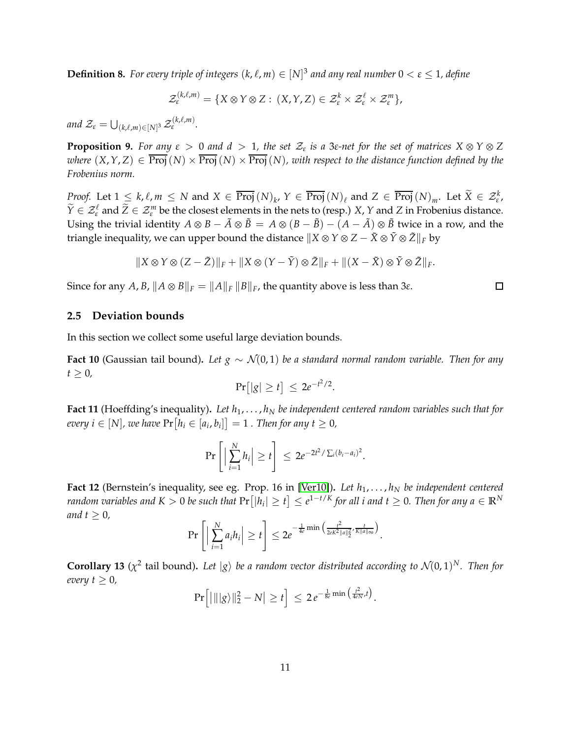<span id="page-10-4"></span>**Definition 8.** For every triple of integers  $(k, \ell, m) \in [N]^3$  and any real number  $0 < \varepsilon \leq 1$ , define

$$
\mathcal{Z}_{\varepsilon}^{(k,\ell,m)} = \{ X \otimes Y \otimes Z : (X,Y,Z) \in \mathcal{Z}_{\varepsilon}^k \times \mathcal{Z}_{\varepsilon}^{\ell} \times \mathcal{Z}_{\varepsilon}^m \},
$$

and  $\mathcal{Z}_{\varepsilon} = \bigcup_{(k,\ell,m) \in [N]^3} \mathcal{Z}$ (*k*,ℓ,*m*) *ε .*

<span id="page-10-5"></span>**Proposition 9.** For any  $\varepsilon > 0$  and  $d > 1$ , the set  $\mathcal{Z}_{\varepsilon}$  is a 3 $\varepsilon$ -net for the set of matrices  $X \otimes Y \otimes Z$ *where*  $(X, Y, Z) \in \overline{Proj}(N) \times \overline{Proj}(N) \times \overline{Proj}(N)$ , with respect to the distance function defined by the *Frobenius norm.*

*Proof.* Let  $1 \leq k, \ell, m \leq N$  and  $X \in \overline{\text{Proj}}(N)_{k}$ ,  $Y \in \overline{\text{Proj}}(N)_{\ell}$  and  $Z \in \overline{\text{Proj}}(N)_{m}$ . Let  $\widetilde{X} \in \mathcal{Z}_{\epsilon}^{k}$ ,  $\widetilde{Y} \in \mathcal{Z}_{\varepsilon}^{\ell}$  and  $\widetilde{Z} \in \mathcal{Z}_{\varepsilon}^m$  be the closest elements in the nets to (resp.) *X*, *Y* and *Z* in Frobenius distance. Using the trivial identity  $A \otimes B - \tilde{A} \otimes \tilde{B} = A \otimes (B - \tilde{B}) - (A - \tilde{A}) \otimes \tilde{B}$  twice in a row, and the triangle inequality, we can upper bound the distance  $\|X \otimes Y \otimes Z - \tilde{X} \otimes \tilde{Y} \otimes \tilde{Z}\|_F$  by

$$
||X \otimes Y \otimes (Z - \tilde{Z})||_F + ||X \otimes (Y - \tilde{Y}) \otimes \tilde{Z}||_F + ||(X - \tilde{X}) \otimes \tilde{Y} \otimes \tilde{Z}||_F.
$$

Since for any *A*, *B*,  $||A \otimes B||_F = ||A||_F ||B||_F$ , the quantity above is less than 3*ε*.

### **2.5 Deviation bounds**

In this section we collect some useful large deviation bounds.

<span id="page-10-0"></span>**Fact 10** (Gaussian tail bound)**.** *Let g* ∼ N(0, 1) *be a standard normal random variable. Then for any*  $t \geq 0$ ,

$$
\Pr[|g| \ge t] \le 2e^{-t^2/2}.
$$

<span id="page-10-2"></span>**Fact 11** (Hoeffding's inequality)**.** *Let h*1, . . . , *h<sup>N</sup> be independent centered random variables such that for*  $every i \in [N]$ , we have  $Pr[h_i \in [a_i, b_i]] = 1$  . Then for any  $t \ge 0$ ,

$$
\Pr\left[\Big|\sum_{i=1}^N h_i\Big|\geq t\right]\,\leq\, 2e^{-2t^2/\sum_i (b_i-a_i)^2}.
$$

<span id="page-10-1"></span>**Fact 12** (Bernstein's inequality, see eg. Prop. 16 in [\[Ver10\]](#page-26-11))**.** *Let h*1, . . . , *h<sup>N</sup> be independent centered*  $r$ andom variables and  $K>0$  be such that  $\Pr[|h_i|\geq t]\leq e^{1-t/K}$  for all  $i$  and  $t\geq 0.$  Then for any  $a\in\mathbb{R}^N$ *and*  $t \geq 0$ *,* 

$$
\Pr\left[\Big|\sum_{i=1}^N a_i h_i\Big|\geq t\right]\leq 2e^{-\frac{1}{4e}\min\left(\frac{t^2}{2eK^2\|a\|_2^2},\frac{t}{K\|a\|_\infty}\right)}.
$$

<span id="page-10-3"></span>**Corollary 13** ( $\chi^2$  tail bound). Let  $|g\rangle$  be a random vector distributed according to  $\mathcal{N}(0,1)^N$ . Then for *every*  $t \geq 0$ *,* 

$$
\Pr\Big[\big|\|\big|\big|g\rangle\big|\big|_2^2-N\big|\geq t\Big]\leq 2\,e^{-\frac{1}{8e}\min\big(\frac{t^2}{4eN},t\big)}.
$$

 $\Box$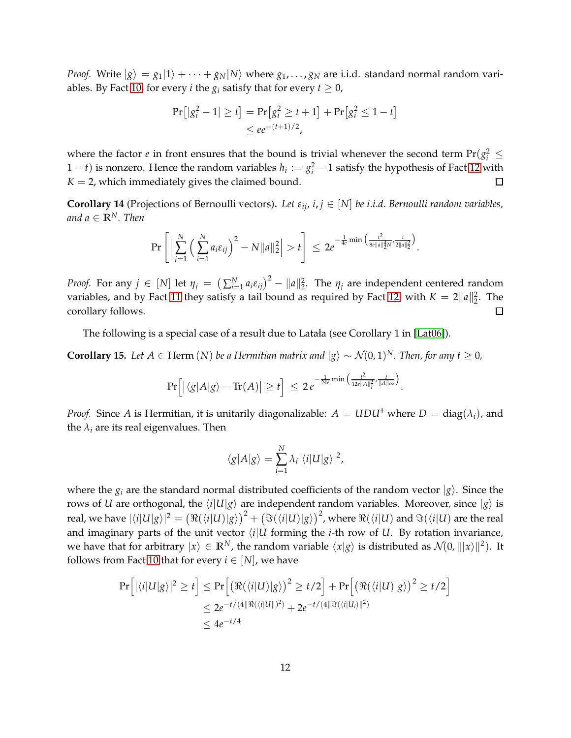*Proof.* Write  $|g\rangle = g_1|1\rangle + \cdots + g_N|N\rangle$  where  $g_1, \ldots, g_N$  are i.i.d. standard normal random vari-ables. By Fact [10,](#page-10-0) for every *i* the  $g_i$  satisfy that for every  $t \geq 0$ ,

$$
\Pr[|g_i^2 - 1| \ge t] = \Pr[g_i^2 \ge t + 1] + \Pr[g_i^2 \le 1 - t]
$$
  
 
$$
\le e e^{-(t+1)/2},
$$

where the factor *e* in front ensures that the bound is trivial whenever the second term  $Pr(g_i^2 \leq$  $(1-t)$  is nonzero. Hence the random variables  $h_i := g_i^2 - 1$  satisfy the hypothesis of Fact [12](#page-10-1) with  $K = 2$ , which immediately gives the claimed bound.  $\Box$ 

<span id="page-11-1"></span>**Corollary 14** (Projections of Bernoulli vectors). Let  $\varepsilon_{ij}$ ,  $i, j \in [N]$  be *i.i.d. Bernoulli random variables*, *and*  $a \in \mathbb{R}^N$ *. Then* 

$$
\Pr\left[\Big|\sum_{j=1}^N\Big(\sum_{i=1}^N a_i\varepsilon_{ij}\Big)^2 - N||a||_2^2\Big| > t\right] \leq 2e^{-\frac{1}{4e}\min\Big(\frac{t^2}{8e||a||_2^4N'}\frac{t}{2||a||_2^2}\Big)}.
$$

*Proof.* For any  $j \in [N]$  let  $\eta_j = (\sum_{i=1}^N a_i \varepsilon_{ij})^2 - ||a||_2^2$ . The  $\eta_j$  are independent centered random variables, and by Fact [11](#page-10-2) they satisfy a tail bound as required by Fact [12,](#page-10-1) with  $K = 2||a||_2^2$ . The corollary follows.  $\Box$ 

The following is a special case of a result due to Latała (see Corollary 1 in [\[Lat06\]](#page-26-12)).

<span id="page-11-0"></span>**Corollary 15.** *Let*  $A \in \text{Herm}(N)$  *be a Hermitian matrix and*  $|g\rangle \sim \mathcal{N}(0,1)^N$ *. Then, for any*  $t \geq 0$ *,* 

$$
\Pr\Big[ \big| \langle g|A|g \rangle - \text{Tr}(A) \big| \geq t \Big] \ \leq \ 2 \, e^{-\frac{1}{24e} \min\big( \frac{t^2}{12e\|A\|_F^2}, \frac{t}{\|A\|_\infty} \big)}.
$$

*Proof.* Since *A* is Hermitian, it is unitarily diagonalizable:  $A = UDU^{\dagger}$  where  $D = \text{diag}(\lambda_i)$ , and the  $\lambda_i$  are its real eigenvalues. Then

$$
\langle g|A|g\rangle = \sum_{i=1}^N \lambda_i |\langle i|U|g\rangle|^2,
$$

where the  $g_i$  are the standard normal distributed coefficients of the random vector  $|g\rangle$ . Since the rows of *U* are orthogonal, the  $\langle i|U|g\rangle$  are independent random variables. Moreover, since  $|g\rangle$  is real, we have  $|\langle i|U|g\rangle|^2 = (\Re(\langle i|U)|g\rangle)^2 + (\Im(\langle i|U)|g\rangle)^2$ , where  $\Re(\langle i|U)$  and  $\Im(\langle i|U)$  are the real and imaginary parts of the unit vector  $\langle i|U$  forming the *i*-th row of *U*. By rotation invariance, we have that for arbitrary  $|x\rangle \in \mathbb{R}^N$ , the random variable  $\langle x|g\rangle$  is distributed as  $\mathcal{N}(0, \| |x\rangle\|^2)$ . It follows from Fact [10](#page-10-0) that for every  $i \in [N]$ , we have

$$
\Pr\left[|\langle i|U|g\rangle|^2 \ge t\right] \le \Pr\left[\left(\Re(\langle i|U)|g\rangle\right)^2 \ge t/2\right] + \Pr\left[\left(\Re(\langle i|U|)g\rangle\right)^2 \ge t/2\right] \\
\le 2e^{-t/(4||\Re(\langle i|U||)^2)} + 2e^{-t/(4||\Im(\langle i|U_i)||^2)} \\
\le 4e^{-t/4}
$$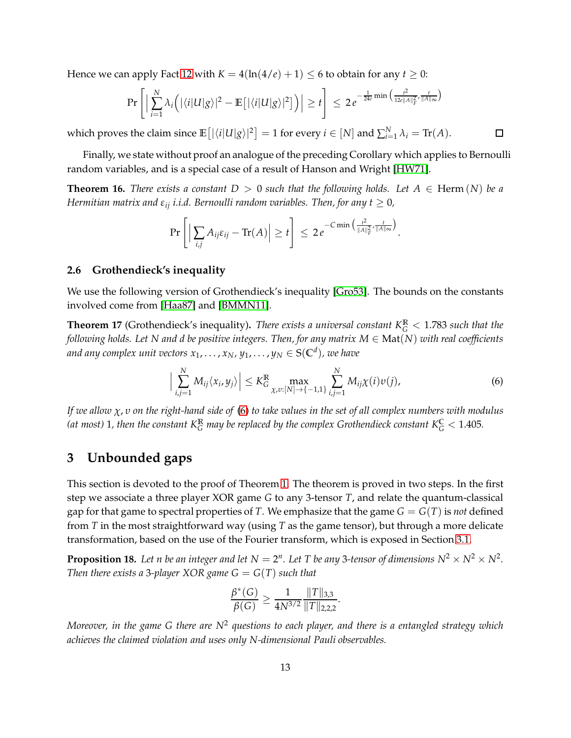Hence we can apply Fact [12](#page-10-1) with  $K = 4(\ln(4/e) + 1) \leq 6$  to obtain for any  $t \geq 0$ :

$$
\Pr\left[\Big|\sum_{i=1}^N\lambda_i\Big(\big|\langle i|U|g\rangle\big|^2-\mathbb{E}\big[\big|\langle i|U|g\rangle\big|^2\big]\Big)\right|\geq t\right]\leq 2\,e^{-\frac{1}{24e}\min\big(\frac{t^2}{12e\|A\|_F^2},\frac{t}{\|A\|_\infty}\big)}
$$

which proves the claim since  $\mathbb{E}\left[\left|\langle i|U|g\rangle\right|^{2}\right] = 1$  for every  $i \in [N]$  and  $\sum_{i=1}^{N} \lambda_{i} = \text{Tr}(A)$ .

Finally, we state without proof an analogue of the preceding Corollary which applies to Bernoulli random variables, and is a special case of a result of Hanson and Wright [\[HW71\]](#page-25-10).

<span id="page-12-4"></span>**Theorem 16.** *There exists a constant*  $D > 0$  *such that the following holds. Let*  $A \in \text{Herm}(N)$  *be a Hermitian matrix and*  $\varepsilon_{ij}$  *i.i.d. Bernoulli random variables. Then, for any*  $t \geq 0$ *,* 

$$
\Pr\left[\Big|\sum_{i,j}A_{ij}\varepsilon_{ij}-\text{Tr}(A)\Big|\geq t\right]\,\leq\,2\,e^{-C\min\left(\frac{t^2}{\|A\|_F^2},\frac{t}{\|A\|_\infty}\right)}.
$$

#### <span id="page-12-0"></span>**2.6 Grothendieck's inequality**

We use the following version of Grothendieck's inequality [\[Gro53\]](#page-25-11). The bounds on the constants involved come from [\[Haa87\]](#page-25-12) and [\[BMMN11\]](#page-25-3).

**Theorem 17** (Grothendieck's inequality)**.** *There exists a universal constant K***<sup>R</sup>** *<sup>G</sup>* <sup>&</sup>lt; 1.783 *such that the following holds. Let N and d be positive integers. Then, for any matrix M* ∈ Mat(*N*) *with real coefficients and any complex unit vectors*  $x_1, \ldots, x_N$ *, y*<sub>1</sub>*,*  $\ldots$  *, y*<sub>N</sub>  $\in$  S(C<sup>d</sup>), we have

<span id="page-12-2"></span>
$$
\Big|\sum_{i,j=1}^N M_{ij}\langle x_i,y_j\rangle\Big|\leq K_{G}^{\mathbb{R}}\max_{\chi,v:[N]\to\{-1,1\}}\sum_{i,j=1}^N M_{ij}\chi(i)v(j),\tag{6}
$$

 $\Box$ 

*If we allow χ*, *υ on the right-hand side of* [\(6\)](#page-12-2) *to take values in the set of all complex numbers with modulus* (at most) 1, then the constant  $K_G^{\mathbb{R}}$  may be replaced by the complex Grothendieck constant  $K_G^{\mathbb{C}} < 1.405$ .

# <span id="page-12-1"></span>**3 Unbounded gaps**

This section is devoted to the proof of Theorem [1.](#page-3-0) The theorem is proved in two steps. In the first step we associate a three player XOR game *G* to any 3-tensor *T*, and relate the quantum-classical gap for that game to spectral properties of *T*. We emphasize that the game  $G = G(T)$  is *not* defined from *T* in the most straightforward way (using *T* as the game tensor), but through a more delicate transformation, based on the use of the Fourier transform, which is exposed in Section [3.1.](#page-13-0)

<span id="page-12-3"></span>**Proposition 18.** Let n be an integer and let  $N = 2^n$ . Let T be any 3-tensor of dimensions  $N^2 \times N^2 \times N^2$ . *Then there exists a* 3-player XOR game  $G = G(T)$  *such that* 

$$
\frac{\beta^*(G)}{\beta(G)} \ge \frac{1}{4N^{3/2}} \frac{\|T\|_{3,3}}{\|T\|_{2,2,2}}.
$$

*Moreover, in the game G there are N*<sup>2</sup> *questions to each player, and there is a entangled strategy which achieves the claimed violation and uses only N-dimensional Pauli observables.*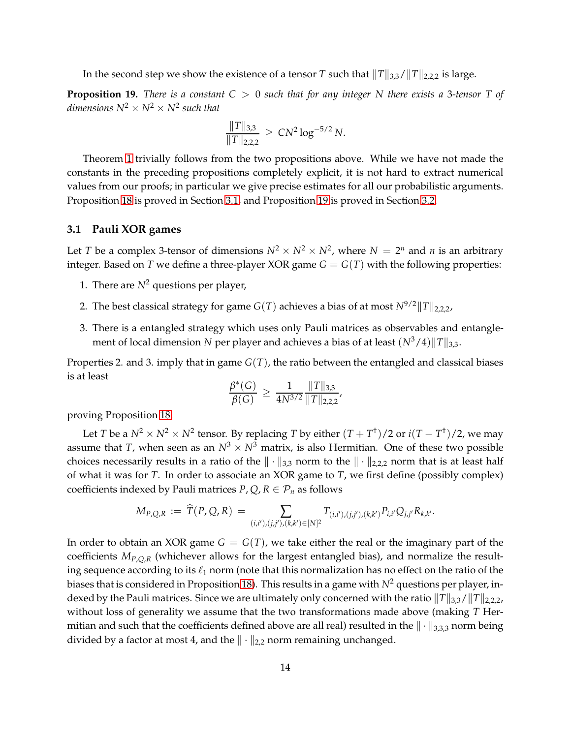In the second step we show the existence of a tensor *T* such that  $||T||_{3,3}/||T||_{2,2,2}$  is large.

<span id="page-13-1"></span>**Proposition 19.** *There is a constant C* > 0 *such that for any integer N there exists a* 3*-tensor T of*  $dimensions\ N^2\times N^2\times N^2$  such that

$$
\frac{\|T\|_{3,3}}{\|T\|_{2,2,2}} \geq CN^2 \log^{-5/2} N.
$$

Theorem [1](#page-3-0) trivially follows from the two propositions above. While we have not made the constants in the preceding propositions completely explicit, it is not hard to extract numerical values from our proofs; in particular we give precise estimates for all our probabilistic arguments. Proposition [18](#page-12-3) is proved in Section [3.1,](#page-13-0) and Proposition [19](#page-13-1) is proved in Section [3.2.](#page-14-0)

### <span id="page-13-0"></span>**3.1 Pauli XOR games**

Let *T* be a complex 3-tensor of dimensions  $N^2 \times N^2 \times N^2$ , where  $N = 2^n$  and *n* is an arbitrary integer. Based on *T* we define a three-player XOR game  $G = G(T)$  with the following properties:

- 1. There are  $N^2$  questions per player,
- 2. The best classical strategy for game *G*(*T*) achieves a bias of at most  $N^{9/2}||T||_{2.2.2}$ ,
- 3. There is a entangled strategy which uses only Pauli matrices as observables and entanglement of local dimension *N* per player and achieves a bias of at least  $(N^3/4)$   $||T||_{3,3}$ .

Properties 2. and 3. imply that in game *G*(*T*), the ratio between the entangled and classical biases is at least

$$
\frac{\beta^*(G)}{\beta(G)} \ge \frac{1}{4N^{3/2}} \frac{\|T\|_{3,3}}{\|T\|_{2,2,2}},
$$

proving Proposition [18.](#page-12-3)

Let *T* be a  $N^2 \times N^2 \times N^2$  tensor. By replacing *T* by either  $(T + T^{\dagger})/2$  or  $i(T - T^{\dagger})/2$ , we may assume that *T*, when seen as an  $N^3 \times N^3$  matrix, is also Hermitian. One of these two possible choices necessarily results in a ratio of the  $\|\cdot\|_{3,3}$  norm to the  $\|\cdot\|_{2,2,2}$  norm that is at least half of what it was for *T*. In order to associate an XOR game to *T*, we first define (possibly complex) coefficients indexed by Pauli matrices  $P$ ,  $Q$ ,  $R \in \mathcal{P}_n$  as follows

$$
M_{P,Q,R} := \widehat{T}(P,Q,R) = \sum_{(i,i'),(j,j'),(k,k') \in [N]^2} T_{(i,i'),(j,j'),(k,k')} P_{i,i'} Q_{j,j'} R_{k,k'}.
$$

In order to obtain an XOR game  $G = G(T)$ , we take either the real or the imaginary part of the coefficients *MP*,*Q*,*<sup>R</sup>* (whichever allows for the largest entangled bias), and normalize the resulting sequence according to its  $\ell_1$  norm (note that this normalization has no effect on the ratio of the biases that is considered in Proposition [18\)](#page-12-3). This results in a game with  $N^2$  questions per player, indexed by the Pauli matrices. Since we are ultimately only concerned with the ratio  $||T||_{3,3}/||T||_{2,2,2}$ , without loss of generality we assume that the two transformations made above (making *T* Hermitian and such that the coefficients defined above are all real) resulted in the  $\|\cdot\|_{3,3,3}$  norm being divided by a factor at most 4, and the  $\|\cdot\|_{2,2}$  norm remaining unchanged.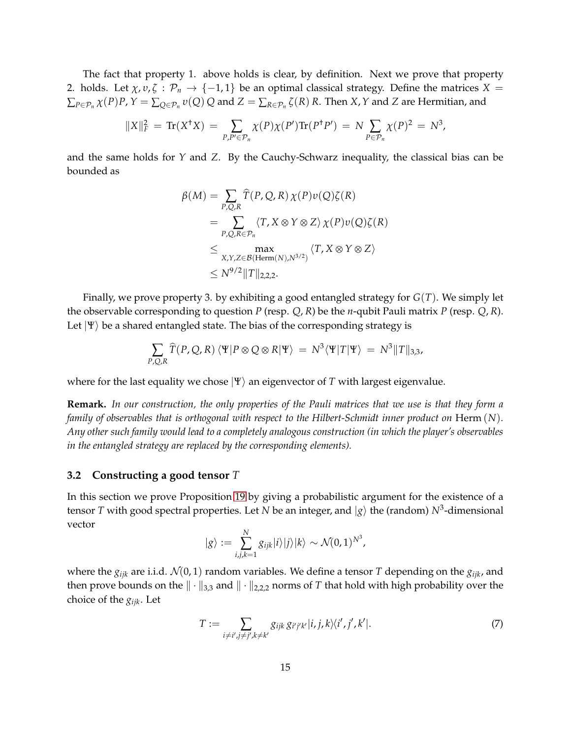The fact that property 1. above holds is clear, by definition. Next we prove that property 2. holds. Let  $\chi$ ,  $v$ ,  $\zeta$  :  $\mathcal{P}_n$   $\rightarrow$  {-1, 1} be an optimal classical strategy. Define the matrices  $X$  =  $\sum_{P\in\mathcal{P}_n}\chi(P)P$ ,  $Y=\sum_{Q\in\mathcal{P}_n}v(Q)$   $Q$  and  $Z=\sum_{R\in\mathcal{P}_n}\zeta(R)$   $R.$  Then  $X$ ,  $Y$  and  $Z$  are Hermitian, and

$$
||X||_F^2 = \text{Tr}(X^{\dagger}X) = \sum_{P,P' \in \mathcal{P}_n} \chi(P)\chi(P')\text{Tr}(P^{\dagger}P') = N \sum_{P \in \mathcal{P}_n} \chi(P)^2 = N^3,
$$

and the same holds for *Y* and *Z*. By the Cauchy-Schwarz inequality, the classical bias can be bounded as

$$
\beta(M) = \sum_{P,Q,R} \widehat{T}(P,Q,R) \chi(P) \nu(Q) \zeta(R)
$$
  
= 
$$
\sum_{P,Q,R \in \mathcal{P}_n} \langle T, X \otimes Y \otimes Z \rangle \chi(P) \nu(Q) \zeta(R)
$$
  

$$
\leq \max_{X,Y,Z \in \mathcal{B}(\text{Herm}(N),N^{3/2})} \langle T, X \otimes Y \otimes Z \rangle
$$
  

$$
\leq N^{9/2} ||T||_{2,2,2}.
$$

Finally, we prove property 3. by exhibiting a good entangled strategy for *G*(*T*). We simply let the observable corresponding to question *P* (resp. *Q*, *R*) be the *n*-qubit Pauli matrix *P* (resp. *Q*, *R*). Let  $|\Psi\rangle$  be a shared entangled state. The bias of the corresponding strategy is

$$
\sum_{P,Q,R} \widehat{T}(P,Q,R) \langle \Psi | P \otimes Q \otimes R | \Psi \rangle = N^3 \langle \Psi | T | \Psi \rangle = N^3 \| T \|_{3,3},
$$

where for the last equality we chose  $|\Psi\rangle$  an eigenvector of *T* with largest eigenvalue.

**Remark.** *In our construction, the only properties of the Pauli matrices that we use is that they form a family of observables that is orthogonal with respect to the Hilbert-Schmidt inner product on* Herm (*N*)*. Any other such family would lead to a completely analogous construction (in which the player's observables in the entangled strategy are replaced by the corresponding elements).*

### <span id="page-14-0"></span>**3.2 Constructing a good tensor** *T*

In this section we prove Proposition [19](#page-13-1) by giving a probabilistic argument for the existence of a tensor  $T$  with good spectral properties. Let  $N$  be an integer, and  $|g\rangle$  the (random)  $N^3$ -dimensional vector

$$
|g\rangle := \sum_{i,j,k=1}^N g_{ijk} |i\rangle |j\rangle |k\rangle \sim \mathcal{N}(0,1)^{N^3},
$$

where the *gijk* are i.i.d. N(0, 1) random variables. We define a tensor *T* depending on the *gijk*, and then prove bounds on the  $\|\cdot\|_{3,3}$  and  $\|\cdot\|_{2,2,2}$  norms of *T* that hold with high probability over the choice of the *gijk*. Let

<span id="page-14-1"></span>
$$
T := \sum_{i \neq i', j \neq j', k \neq k'} g_{ijk} g_{i'j'k'} |i, j, k\rangle \langle i', j', k'|.
$$
 (7)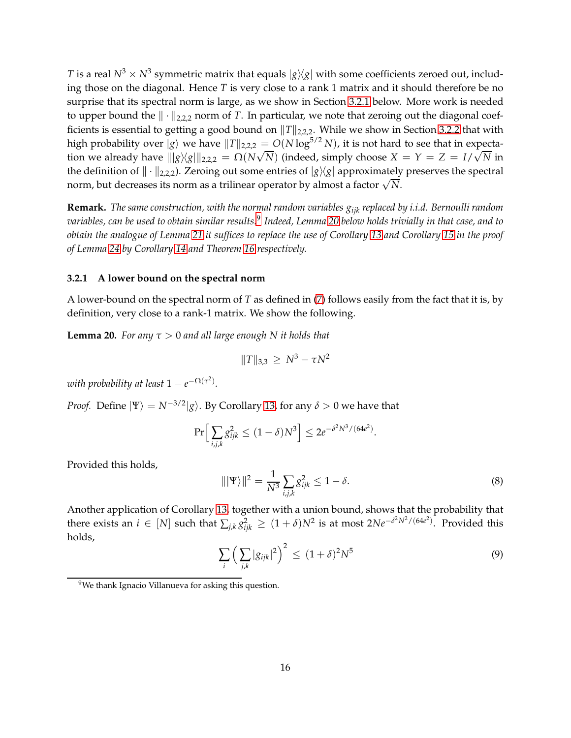*T* is a real  $N^3 \times N^3$  symmetric matrix that equals  $|g\rangle\langle g|$  with some coefficients zeroed out, including those on the diagonal. Hence *T* is very close to a rank 1 matrix and it should therefore be no surprise that its spectral norm is large, as we show in Section [3.2.1](#page-15-0) below. More work is needed to upper bound the  $\|\cdot\|_{2,2,2}$  norm of *T*. In particular, we note that zeroing out the diagonal coefficients is essential to getting a good bound on  $||T||_{2,2,2}$ . While we show in Section [3.2.2](#page-16-0) that with high probability over  $|g\rangle$  we have  $||T||_{2,2,2} = O(N \log^{5/2} N)$ , it is not hard to see that in expectation we already have  $\frac{1}{\|g\|g\}}\frac{1}{\|g\|_{2,2,2}} = \Omega(N\sqrt{N})$  (indeed, simply choose  $X = Y = Z = I/\sqrt{N}$  in the definition of  $\|\cdot\|_{2,2,2}$ ). Zeroing out some entries of  $|g\rangle\langle g|$  approximately preserves the spectral norm, but decreases its norm as a trilinear operator by almost a factor  $\sqrt{N}$ .

**Remark.** *The same construction, with the normal random variables gijk replaced by i.i.d. Bernoulli random variables, can be used to obtain similar results.*[9](#page-15-1) *Indeed, Lemma [20](#page-15-2) below holds trivially in that case, and to obtain the analogue of Lemma [21](#page-16-1) it suffices to replace the use of Corollary [13](#page-10-3) and Corollary [15](#page-11-0) in the proof of Lemma [24](#page-18-0) by Corollary [14](#page-11-1) and Theorem [16](#page-12-4) respectively.*

### <span id="page-15-0"></span>**3.2.1 A lower bound on the spectral norm**

A lower-bound on the spectral norm of *T* as defined in [\(7\)](#page-14-1) follows easily from the fact that it is, by definition, very close to a rank-1 matrix. We show the following.

<span id="page-15-2"></span>**Lemma 20.** *For any τ* > 0 *and all large enough N it holds that*

$$
||T||_{3,3} \geq N^3 - \tau N^2
$$

*with probability at least*  $1 - e^{-\Omega(\tau^2)}$ *.* 

*Proof.* Define  $|\Psi\rangle = N^{-3/2} |g\rangle$ . By Corollary [13,](#page-10-3) for any  $\delta > 0$  we have that

$$
\Pr\Big[\sum_{i,j,k}g_{ijk}^2\leq (1-\delta)N^3\Big]\leq 2e^{-\delta^2N^3/(64e^2)}.
$$

Provided this holds,

<span id="page-15-3"></span>
$$
\|\Psi\rangle\|^2 = \frac{1}{N^3} \sum_{i,j,k} g_{ijk}^2 \le 1 - \delta. \tag{8}
$$

Another application of Corollary [13,](#page-10-3) together with a union bound, shows that the probability that there exists an  $i \in [N]$  such that  $\sum_{j,k} g_{ijk}^2 \ge (1+\delta)N^2$  is at most  $2Ne^{-\delta^2 N^2/(64e^2)}$ . Provided this holds,

<span id="page-15-4"></span>
$$
\sum_{i} \left( \sum_{j,k} |g_{ijk}|^2 \right)^2 \le (1+\delta)^2 N^5 \tag{9}
$$

<span id="page-15-1"></span><sup>&</sup>lt;sup>9</sup>We thank Ignacio Villanueva for asking this question.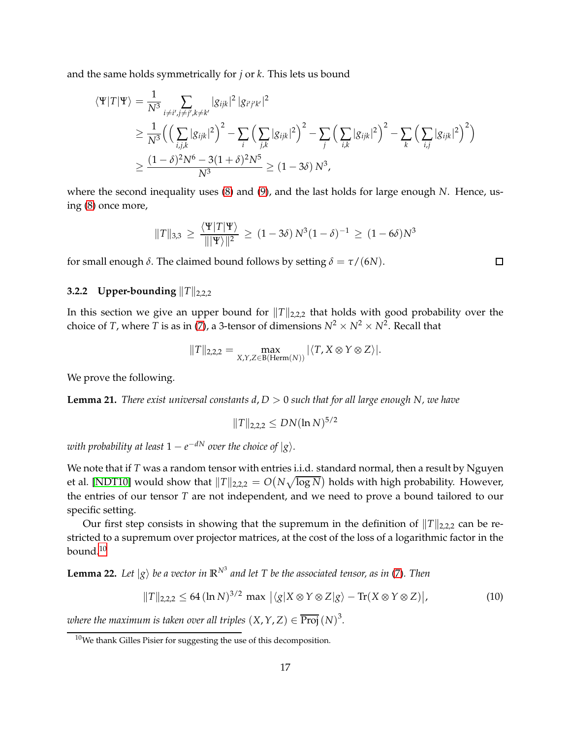and the same holds symmetrically for *j* or *k*. This lets us bound

$$
\langle \Psi | T | \Psi \rangle = \frac{1}{N^3} \sum_{i \neq i', j \neq j', k \neq k'} |g_{ijk}|^2 |g_{i'j'k'}|^2
$$
  
\n
$$
\geq \frac{1}{N^3} \Big( \Big( \sum_{i,j,k} |g_{ijk}|^2 \Big)^2 - \sum_i \Big( \sum_{j,k} |g_{ijk}|^2 \Big)^2 - \sum_j \Big( \sum_{i,k} |g_{ijk}|^2 \Big)^2 - \sum_k \Big( \sum_{i,j} |g_{ijk}|^2 \Big)^2 \Big)
$$
  
\n
$$
\geq \frac{(1 - \delta)^2 N^6 - 3(1 + \delta)^2 N^5}{N^3} \geq (1 - 3\delta) N^3,
$$

where the second inequality uses [\(8\)](#page-15-3) and [\(9\)](#page-15-4), and the last holds for large enough *N*. Hence, using [\(8\)](#page-15-3) once more,

$$
||T||_{3,3} \ge \frac{\langle \Psi | T | \Psi \rangle}{|||\Psi \rangle||^2} \ge (1 - 3\delta) N^3 (1 - \delta)^{-1} \ge (1 - 6\delta) N^3
$$

<span id="page-16-0"></span>for small enough *δ*. The claimed bound follows by setting *δ* = *τ*/(6*N*).

### **3.2.2 Upper-bounding**  $||T||_{2,2,2}$

In this section we give an upper bound for  $||T||_{2,2,2}$  that holds with good probability over the choice of *T*, where *T* is as in [\(7\)](#page-14-1), a 3-tensor of dimensions  $N^2 \times N^2 \times N^2$ . Recall that

$$
||T||_{2,2,2} = \max_{X,Y,Z \in B(\text{Herm}(N))} |\langle T, X \otimes Y \otimes Z \rangle|.
$$

We prove the following.

<span id="page-16-1"></span>**Lemma 21.** *There exist universal constants*  $d$ *,*  $D > 0$  *such that for all large enough N, we have* 

$$
||T||_{2,2,2} \leq DN(\ln N)^{5/2}
$$

 $\omega$ ith probability at least  $1-e^{-dN}$  over the choice of  $|g\rangle.$ 

We note that if *T* was a random tensor with entries i.i.d. standard normal, then a result by Nguyen et al. [\[NDT10\]](#page-26-13) would show that  $\|T\|_{2,2,2} = O(N\sqrt{\log N})$  holds with high probability. However, the entries of our tensor *T* are not independent, and we need to prove a bound tailored to our specific setting.

Our first step consists in showing that the supremum in the definition of  $||T||_{2,2,2}$  can be restricted to a supremum over projector matrices, at the cost of the loss of a logarithmic factor in the bound. $10$ 

<span id="page-16-4"></span>**Lemma 22.** Let  $|g\rangle$  be a vector in  $\mathbb{R}^{N^3}$  and let T be the associated tensor, as in [\(7\)](#page-14-1). Then

<span id="page-16-3"></span>
$$
||T||_{2,2,2} \leq 64 \left(\ln N\right)^{3/2} \max \left| \langle g | X \otimes Y \otimes Z | g \rangle - \text{Tr}(X \otimes Y \otimes Z) \right|, \tag{10}
$$

*where the maximum is taken over all triples*  $(X, Y, Z) \in \overline{\text{Proj}} (N)^3$ .

 $\Box$ 

<span id="page-16-2"></span><sup>10</sup>We thank Gilles Pisier for suggesting the use of this decomposition.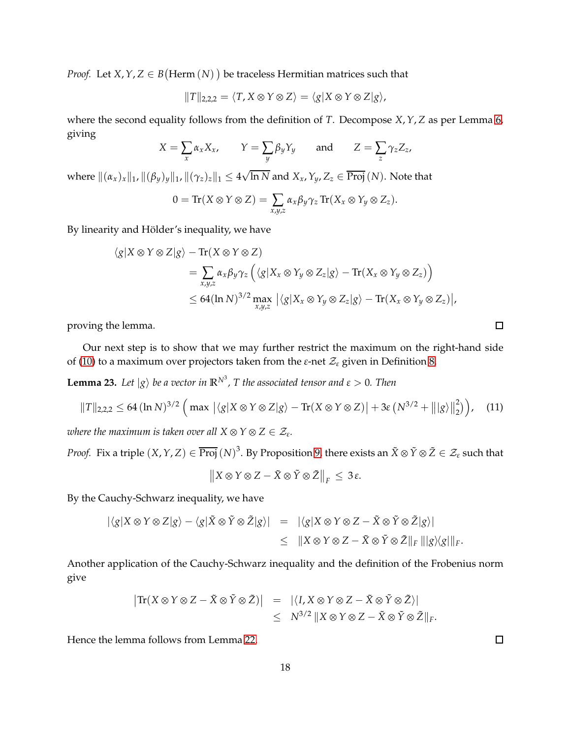*Proof.* Let *X*, *Y*, *Z*  $\in$  *B*(Herm  $(N)$ ) be traceless Hermitian matrices such that

$$
||T||_{2,2,2} = \langle T, X \otimes Y \otimes Z \rangle = \langle g | X \otimes Y \otimes Z | g \rangle,
$$

where the second equality follows from the definition of *T*. Decompose *X*,*Y*, *Z* as per Lemma [6,](#page-8-5) giving

$$
X = \sum_{x} \alpha_{x} X_{x}, \qquad Y = \sum_{y} \beta_{y} Y_{y} \qquad \text{and} \qquad Z = \sum_{z} \gamma_{z} Z_{z},
$$

where  $\|(\alpha_x)_x\|_1$ ,  $\|(\beta_y)_y\|_1$ ,  $\|(\gamma_z)_z\|_1\leq 4\sqrt{\ln N}$  and  $X_x$ ,  $Y_y$ ,  $Z_z\in \overline{\mathrm{Proj}}\,(N).$  Note that

$$
0 = \text{Tr}(X \otimes Y \otimes Z) = \sum_{x,y,z} \alpha_x \beta_y \gamma_z \text{Tr}(X_x \otimes Y_y \otimes Z_z).
$$

By linearity and Hölder's inequality, we have

$$
\langle g|X \otimes Y \otimes Z|g\rangle - \text{Tr}(X \otimes Y \otimes Z)
$$
  
= 
$$
\sum_{x,y,z} \alpha_x \beta_y \gamma_z \left( \langle g|X_x \otimes Y_y \otimes Z_z|g\rangle - \text{Tr}(X_x \otimes Y_y \otimes Z_z) \right)
$$
  

$$
\leq 64(\ln N)^{3/2} \max_{x,y,z} |\langle g|X_x \otimes Y_y \otimes Z_z|g\rangle - \text{Tr}(X_x \otimes Y_y \otimes Z_z)|,
$$

proving the lemma.

Our next step is to show that we may further restrict the maximum on the right-hand side of [\(10\)](#page-16-3) to a maximum over projectors taken from the  $\varepsilon$ -net  $\mathcal{Z}_{\varepsilon}$  given in Definition [8.](#page-10-4)

<span id="page-17-1"></span>**Lemma 23.** Let  $|g\rangle$  be a vector in  $\mathbb{R}^{N^3}$ , T the associated tensor and  $\varepsilon > 0$ . Then

<span id="page-17-0"></span>
$$
||T||_{2,2,2} \leq 64 \left(\ln N\right)^{3/2} \left(\max \left|\langle g|X \otimes Y \otimes Z|g\rangle - \text{Tr}(X \otimes Y \otimes Z)\right| + 3\varepsilon \left(N^{3/2} + \left|\left|g\right\rangle\right|\right|_{2}^{2}\right), \quad (11)
$$

*where the maximum is taken over all*  $X \otimes Y \otimes Z \in \mathcal{Z}_{\varepsilon}$ .

*Proof.* Fix a triple  $(X, Y, Z) \in \overline{\text{Proj}} (N)^3$ . By Proposition [9,](#page-10-5) there exists an  $\tilde{X} \otimes \tilde{Y} \otimes \tilde{Z} \in \mathcal{Z}_\varepsilon$  such that

$$
\|X\otimes Y\otimes Z-\tilde{X}\otimes \tilde{Y}\otimes \tilde{Z}\|_F\,\leq\,3\,\varepsilon.
$$

By the Cauchy-Schwarz inequality, we have

$$
\begin{array}{rcl}\n|\langle g|X \otimes Y \otimes Z|g\rangle - \langle g|\tilde{X} \otimes \tilde{Y} \otimes \tilde{Z}|g\rangle| & = & |\langle g|X \otimes Y \otimes Z - \tilde{X} \otimes \tilde{Y} \otimes \tilde{Z}|g\rangle| \\
& \leq & \|X \otimes Y \otimes Z - \tilde{X} \otimes \tilde{Y} \otimes \tilde{Z}\|_F \, \| |g\rangle \langle g| \|_F.\n\end{array}
$$

Another application of the Cauchy-Schwarz inequality and the definition of the Frobenius norm give

$$
\begin{array}{rcl}\n\left| \text{Tr}(X \otimes Y \otimes Z - \tilde{X} \otimes \tilde{Y} \otimes \tilde{Z}) \right| & = & \left| \langle I, X \otimes Y \otimes Z - \tilde{X} \otimes \tilde{Y} \otimes \tilde{Z} \rangle \right| \\
& \leq & N^{3/2} \left| X \otimes Y \otimes Z - \tilde{X} \otimes \tilde{Y} \otimes \tilde{Z} \right|_{F}.\n\end{array}
$$

Hence the lemma follows from Lemma [22.](#page-16-4)

 $\Box$ 

 $\Box$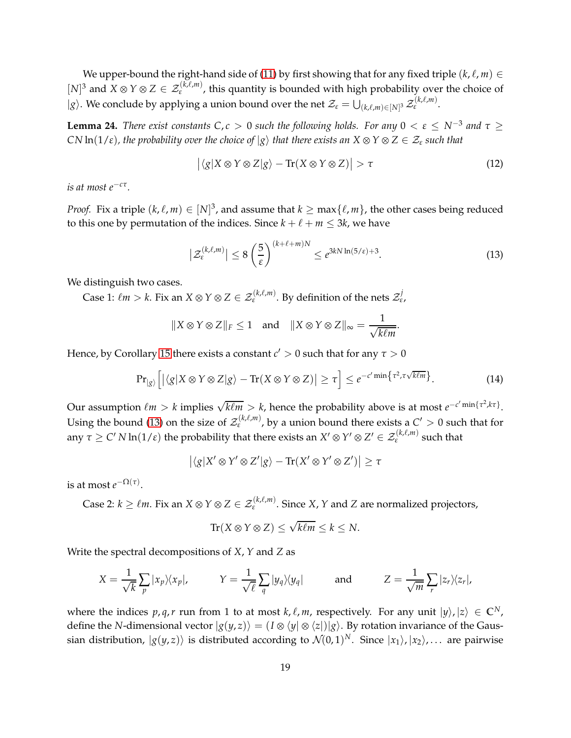We upper-bound the right-hand side of [\(11\)](#page-17-0) by first showing that for any fixed triple  $(k, \ell, m) \in$  $[N]^3$  and  $X \otimes Y \otimes Z \in \mathcal{Z}_{\varepsilon}^{(K,\ell,m)}$ , this quantity is bounded with high probability over the choice of  $|g\rangle$ . We conclude by applying a union bound over the net  $\mathcal{Z}_{\varepsilon} = \bigcup_{(k,\ell,m)\in[N]^3} \mathcal{Z}$ (*k*,ℓ,*m*) *ε* .

<span id="page-18-0"></span>**Lemma 24.** *There exist constants*  $C, c > 0$  *such the following holds. For any*  $0 < \varepsilon \le N^{-3}$  *and*  $\tau \ge$ *CN*  $\ln(1/\varepsilon)$ *, the probability over the choice of*  $|g\rangle$  *that there exists an*  $X \otimes Y \otimes Z \in \mathcal{Z}_{\varepsilon}$  *such that* 

$$
\left| \langle g | X \otimes Y \otimes Z | g \rangle - \text{Tr}(X \otimes Y \otimes Z) \right| > \tau \tag{12}
$$

*is at most e*−*c<sup>τ</sup> .*

*Proof.* Fix a triple  $(k, \ell, m) \in [N]^3$ , and assume that  $k \ge \max{\ell, m}$ , the other cases being reduced to this one by permutation of the indices. Since  $k + \ell + m \leq 3k$ , we have

<span id="page-18-1"></span>
$$
\left| \mathcal{Z}_{\varepsilon}^{(k,\ell,m)} \right| \le 8 \left( \frac{5}{\varepsilon} \right)^{(k+\ell+m)N} \le e^{3kN \ln(5/\varepsilon) + 3}.
$$
 (13)

.

We distinguish two cases.

Case 1:  $\ell m > k$ . Fix an  $X \otimes Y \otimes Z \in \mathcal{Z}_{\varepsilon}^{(k,\ell,m)}$ . By definition of the nets  $\mathcal{Z}_{\varepsilon}^j$ ,

$$
||X \otimes Y \otimes Z||_F \le 1
$$
 and  $||X \otimes Y \otimes Z||_{\infty} = \frac{1}{\sqrt{k\ell m}}$ 

Hence, by Corollary [15](#page-11-0) there exists a constant  $c' > 0$  such that for any  $\tau > 0$ 

$$
\Pr_{|g\rangle}\left[|\langle g|X\otimes Y\otimes Z|g\rangle - \text{Tr}(X\otimes Y\otimes Z)|\geq \tau\right] \leq e^{-c'\min\left\{\tau^2, \tau\sqrt{k\ell m}\right\}}.
$$
 (14)

Our assumption  $\ell m > k$  implies  $\sqrt{k\ell m} > k$ , hence the probability above is at most  $e^{-c'\min\{\tau^2, k\tau\}}$ . Using the bound [\(13\)](#page-18-1) on the size of  $\mathcal{Z}^{(k,\ell,m)}_{\varepsilon}$ , by a union bound there exists a  $C' > 0$  such that for any  $\tau \ge C' N \ln(1/\epsilon)$  the probability that there exists an  $X' \otimes Y' \otimes Z' \in \mathcal{Z}_{\epsilon}^{(k,\ell,m)}$  such that

$$
\big| \langle g | X' \otimes Y' \otimes Z' | g \rangle - \text{Tr}(X' \otimes Y' \otimes Z') \big| \ge \tau
$$

is at most  $e^{-\Omega(\tau)}$ .

Case 2:  $k \geq \ell m$ . Fix an  $X \otimes Y \otimes Z \in \mathcal{Z}_{\varepsilon}^{(k,\ell,m)}$ . Since  $X$ ,  $Y$  and  $Z$  are normalized projectors,

$$
\text{Tr}(X \otimes Y \otimes Z) \leq \sqrt{k\ell m} \leq k \leq N.
$$

Write the spectral decompositions of *X*, *Y* and *Z* as

$$
X = \frac{1}{\sqrt{k}} \sum_{p} |x_p\rangle\langle x_p|, \qquad Y = \frac{1}{\sqrt{\ell}} \sum_{q} |y_q\rangle\langle y_q| \qquad \text{and} \qquad Z = \frac{1}{\sqrt{m}} \sum_{r} |z_r\rangle\langle z_r|,
$$

where the indices  $p, q, r$  run from 1 to at most  $k, \ell, m$ , respectively. For any unit  $|y\rangle, |z\rangle \in \mathbb{C}^N$ , define the *N*-dimensional vector  $|g(y, z)\rangle = (I \otimes \langle y | \otimes \langle z |) |g\rangle$ . By rotation invariance of the Gaussian distribution,  $|g(y, z)\rangle$  is distributed according to  $\mathcal{N}(0, 1)^N$ . Since  $|x_1\rangle, |x_2\rangle, \ldots$  are pairwise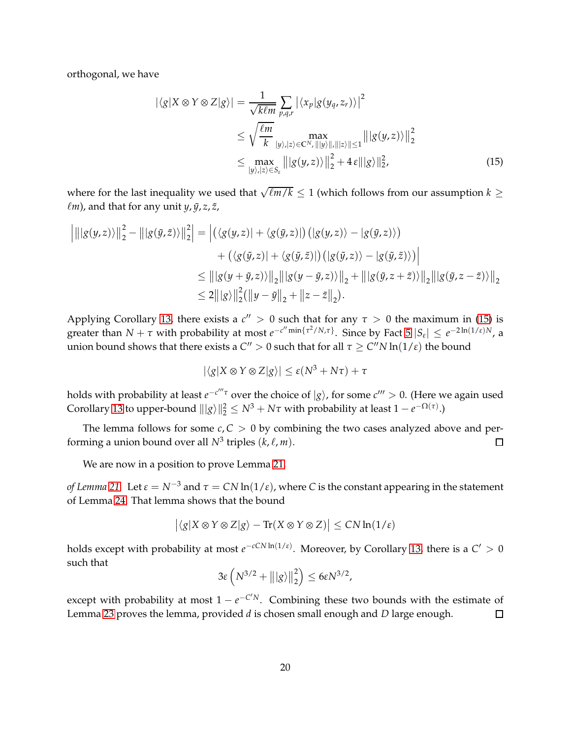orthogonal, we have

<span id="page-19-0"></span>
$$
|\langle g|X \otimes Y \otimes Z|g\rangle| = \frac{1}{\sqrt{k\ell m}} \sum_{p,q,r} |\langle x_p|g(y_q, z_r)\rangle|^2
$$
  
\n
$$
\leq \sqrt{\frac{\ell m}{k}} \max_{|y\rangle,|z\rangle \in \mathbb{C}^N, ||y\rangle, ||z\rangle|| \leq 1} |||g(y, z)\rangle||_2^2
$$
  
\n
$$
\leq \max_{|y\rangle,|z\rangle \in S_{\varepsilon}} |||g(y, z)\rangle||_2^2 + 4\,\varepsilon |||g\rangle||_2^2,
$$
\n(15)

where for the last inequality we used that  $\sqrt{\ell m/k} \leq 1$  (which follows from our assumption  $k \geq$  $\ell$ *m*), and that for any unit *y*,  $\tilde{y}$ , *z*, *ž*,

$$
\left| \left\| |g(y,z)\rangle \right\|_{2}^{2} - \left\| |g(\tilde{y},\tilde{z})\rangle \right\|_{2}^{2} \right| = \left| \left( \langle g(y,z)| + \langle g(\tilde{y},z)| \right) \left( |g(y,z)\rangle - |g(\tilde{y},z)\rangle \right) \right|
$$
  
+  $\left( \langle g(\tilde{y},z)| + \langle g(\tilde{y},\tilde{z})| \right) \left( |g(\tilde{y},z)\rangle - |g(\tilde{y},\tilde{z})\rangle \right) \right|$   
 $\leq \left\| |g(y+\tilde{y},z)\rangle \right\|_{2} \left\| |g(y-\tilde{y},z)\rangle \right\|_{2} + \left\| |g(\tilde{y},z+\tilde{z})\rangle \right\|_{2} \left\| |g(\tilde{y},z-\tilde{z})\rangle \right\|_{2}$   
 $\leq 2 \left\| |g\rangle \right\|_{2}^{2} \left( \left\| y-\tilde{y} \right\|_{2} + \left\| z-\tilde{z} \right\|_{2} \right).$ 

Applying Corollary [13,](#page-10-3) there exists a  $c'' > 0$  such that for any  $\tau > 0$  the maximum in [\(15\)](#page-19-0) is greater than  $N + \tau$  with probability at most  $e^{-c'' \min\{\tau^2/N,\tau\}}$ . Since by Fact  $5 |S_{\varepsilon}| \leq e^{-2\ln(1/\varepsilon)N}$ , a union bound shows that there exists a  $C'' > 0$  such that for all  $\tau \ge C'' N \ln(1/\varepsilon)$  the bound

$$
|\langle g|X \otimes Y \otimes Z|g\rangle| \leq \varepsilon(N^3 + N\tau) + \tau
$$

holds with probability at least  $e^{-c'''\tau}$  over the choice of  $|g\rangle$ , for some  $c''' > 0$ . (Here we again used Corollary [13](#page-10-3) to upper-bound  $||g\rangle||_2^2 \le N^3 + N\tau$  with probability at least  $1 - e^{-\Omega(\tau)}$ .)

The lemma follows for some  $c, C > 0$  by combining the two cases analyzed above and performing a union bound over all  $N^3$  triples  $(k, \ell, m)$ .  $\Box$ 

We are now in a position to prove Lemma [21.](#page-16-1)

*of Lemma* [21.](#page-16-1) Let  $\varepsilon = N^{-3}$  and  $\tau = CN \ln(1/\varepsilon)$ , where *C* is the constant appearing in the statement of Lemma [24.](#page-18-0) That lemma shows that the bound

$$
\big| \langle g | X \otimes Y \otimes Z | g \rangle - \text{Tr}(X \otimes Y \otimes Z) \big| \leq C N \ln (1/\varepsilon)
$$

holds except with probability at most  $e^{-cCN\ln(1/\varepsilon)}$ . Moreover, by Corollary [13,](#page-10-3) there is a  $C'>0$ such that

$$
3\varepsilon\left(N^{3/2} + |||g\rangle||_2^2\right) \leq 6\varepsilon N^{3/2},
$$

except with probability at most  $1 - e^{-C/N}$ . Combining these two bounds with the estimate of Lemma [23](#page-17-1) proves the lemma, provided *d* is chosen small enough and *D* large enough.  $\Box$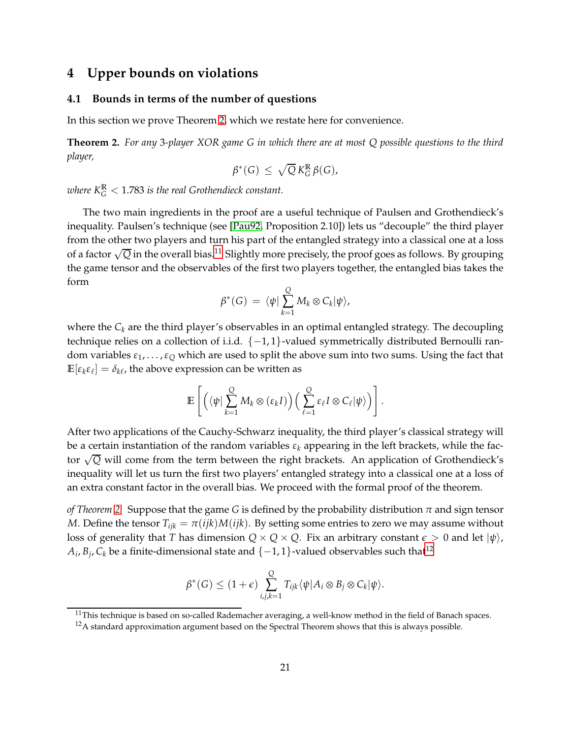# <span id="page-20-0"></span>**4 Upper bounds on violations**

### **4.1 Bounds in terms of the number of questions**

In this section we prove Theorem [2,](#page-3-2) which we restate here for convenience.

**Theorem 2.** *For any* 3*-player XOR game G in which there are at most Q possible questions to the third player,*

$$
\beta^*(G) \leq \sqrt{Q} K_G^{\mathbb{R}} \beta(G),
$$

where  $K_{G}^{\mathbb{R}} < 1.783$  is the real Grothendieck constant.

The two main ingredients in the proof are a useful technique of Paulsen and Grothendieck's inequality. Paulsen's technique (see [\[Pau92,](#page-26-14) Proposition 2.10]) lets us "decouple" the third player from the other two players and turn his part of the entangled strategy into a classical one at a loss of a factor  $\sqrt{Q}$  in the overall bias.<sup>[11](#page-20-1)</sup> Slightly more precisely, the proof goes as follows. By grouping the game tensor and the observables of the first two players together, the entangled bias takes the form

$$
\beta^*(G) = \langle \psi | \sum_{k=1}^Q M_k \otimes C_k | \psi \rangle,
$$

where the *C<sup>k</sup>* are the third player's observables in an optimal entangled strategy. The decoupling technique relies on a collection of i.i.d.  $\{-1, 1\}$ -valued symmetrically distributed Bernoulli random variables *ε*1, . . . ,*ε<sup>Q</sup>* which are used to split the above sum into two sums. Using the fact that  $\mathbb{E}[\varepsilon_k \varepsilon_\ell] = \delta_{k\ell}$ , the above expression can be written as

$$
\mathbb{E}\left[\left(\langle\psi\vert\sum_{k=1}^Q M_k \otimes(\varepsilon_k I)\right)\left(\sum_{\ell=1}^Q \varepsilon_\ell I \otimes C_\ell \vert\psi\rangle\right)\right].
$$

After two applications of the Cauchy-Schwarz inequality, the third player's classical strategy will be a certain instantiation of the random variables *ε<sup>k</sup>* appearing in the left brackets, while the factor <sup>√</sup> *Q* will come from the term between the right brackets. An application of Grothendieck's inequality will let us turn the first two players' entangled strategy into a classical one at a loss of an extra constant factor in the overall bias. We proceed with the formal proof of the theorem.

*of Theorem [2.](#page-3-2)* Suppose that the game *G* is defined by the probability distribution *π* and sign tensor *M*. Define the tensor  $T_{ijk} = \pi(ijk)M(ijk)$ . By setting some entries to zero we may assume without loss of generality that *T* has dimension  $Q \times Q \times Q$ . Fix an arbitrary constant  $\epsilon > 0$  and let  $|\psi\rangle$ ,  $A_i$ ,  $B_j$ ,  $C_k$  be a finite-dimensional state and  $\{-1,1\}$ -valued observables such that<sup>[12](#page-20-2)</sup>

$$
\beta^*(G) \leq (1+\epsilon) \sum_{i,j,k=1}^Q T_{ijk} \langle \psi | A_i \otimes B_j \otimes C_k | \psi \rangle.
$$

 $11$ This technique is based on so-called Rademacher averaging, a well-know method in the field of Banach spaces.

<span id="page-20-2"></span><span id="page-20-1"></span> $12A$  standard approximation argument based on the Spectral Theorem shows that this is always possible.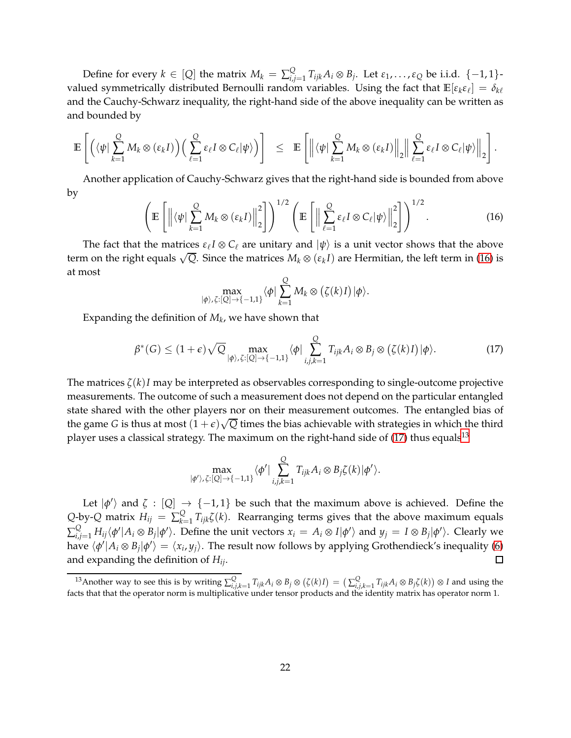Define for every  $k \in [Q]$  the matrix  $M_k = \sum_{i,j}^Q p_i$  ${}^Q_{i,j=1}$  *T<sub>ijk</sub>A<sub>i</sub>* ⊗ *B<sub>j</sub>*. Let *ε*<sub>1</sub>, . . . , *ε*<sub>Q</sub> be i.i.d. {−1,1}valued symmetrically distributed Bernoulli random variables. Using the fact that  $\mathbb{E}[\varepsilon_k\varepsilon_\ell]=\delta_{k\ell}$ and the Cauchy-Schwarz inequality, the right-hand side of the above inequality can be written as and bounded by

$$
\mathbb{E}\left[\left(\langle\psi|\sum_{k=1}^{Q}M_k\otimes(\epsilon_k I)\right)\left(\sum_{\ell=1}^{Q}\epsilon_{\ell}I\otimes C_{\ell}|\psi\rangle\right)\right] \leq \mathbb{E}\left[\left\|\langle\psi|\sum_{k=1}^{Q}M_k\otimes(\epsilon_k I)\right\|_2\right\|\sum_{\ell=1}^{Q}\epsilon_{\ell}I\otimes C_{\ell}|\psi\rangle\right\|_2\right].
$$

Another application of Cauchy-Schwarz gives that the right-hand side is bounded from above by

<span id="page-21-0"></span>
$$
\left(\mathbb{E}\left[\left\|\langle\psi\right|\sum_{k=1}^{Q}M_{k}\otimes\left(\epsilon_{k}I\right)\right\|_{2}^{2}\right]\right)^{1/2}\left(\mathbb{E}\left[\left\|\sum_{\ell=1}^{Q}\epsilon_{\ell}I\otimes C_{\ell}|\psi\rangle\right\|_{2}^{2}\right]\right)^{1/2}.
$$
\n(16)

The fact that the matrices  $\varepsilon_\ell I \otimes C_\ell$  are unitary and  $|\psi\rangle$  is a unit vector shows that the above term on the right equals  $\sqrt{Q}$ . Since the matrices  $M_k \otimes (\varepsilon_k I)$  are Hermitian, the left term in [\(16\)](#page-21-0) is at most

$$
\max_{|\phi\rangle,\zeta:[Q]\to\{-1,1\}}\langle\phi|\sum_{k=1}^QM_k\otimes(\zeta(k)I)|\phi\rangle.
$$

Expanding the definition of *M<sup>k</sup>* , we have shown that

<span id="page-21-1"></span>
$$
\beta^*(G) \le (1+\epsilon)\sqrt{Q} \max_{|\phi\rangle, \zeta: [Q] \to \{-1,1\}} \langle \phi | \sum_{i,j,k=1}^Q T_{ijk} A_i \otimes B_j \otimes (\zeta(k)I) | \phi \rangle. \tag{17}
$$

The matrices *ζ*(*k*)*I* may be interpreted as observables corresponding to single-outcome projective measurements. The outcome of such a measurement does not depend on the particular entangled state shared with the other players nor on their measurement outcomes. The entangled bias of the game *G* is thus at most  $(1+\epsilon)\sqrt{Q}$  times the bias achievable with strategies in which the third player uses a classical strategy. The maximum on the right-hand side of  $(17)$  thus equals<sup>[13](#page-21-2)</sup>

$$
\max_{|\phi'\rangle,\zeta:[Q]\to\{-1,1\}}\langle\phi'|\sum_{i,j,k=1}^Q T_{ijk}A_i\otimes B_j\zeta(k)|\phi'\rangle.
$$

Let  $|\phi'\rangle$  and  $\zeta$  :  $[Q] \rightarrow \{-1,1\}$  be such that the maximum above is achieved. Define the  $Q$ -by- $Q$  matrix  $H_{ij} \ = \ \sum_{k=1}^{Q}$ *k*=1 *Tijkζ*(*k*). Rearranging terms gives that the above maximum equals  $\sum_{i,j=1}^Q H_{ij} \langle \phi' | A_i \otimes B_j | \phi' \rangle$ . Define the unit vectors  $x_i\,=\,A_i \otimes I | \phi' \rangle$  and  $y_j\,=\,I \otimes B_j | \phi' \rangle$ . Clearly we have  $\langle \phi' | A_i \otimes B_j | \phi' \rangle = \langle x_i, y_j \rangle$ . The result now follows by applying Grothendieck's inequality [\(6\)](#page-12-2) and expanding the definition of *Hij*.  $\Box$ 

<span id="page-21-2"></span><sup>&</sup>lt;sup>13</sup>Another way to see this is by writing  $\sum_{i,j,k=1}^{Q} T_{ijk} A_i \otimes B_j \otimes (\zeta(k)I) = (\sum_{i,j,k=1}^{Q} T_{ijk} A_i \otimes B_j \zeta(k)) \otimes I$  and using the facts that that the operator norm is multiplicative under tensor products and the identity matrix has operator norm 1.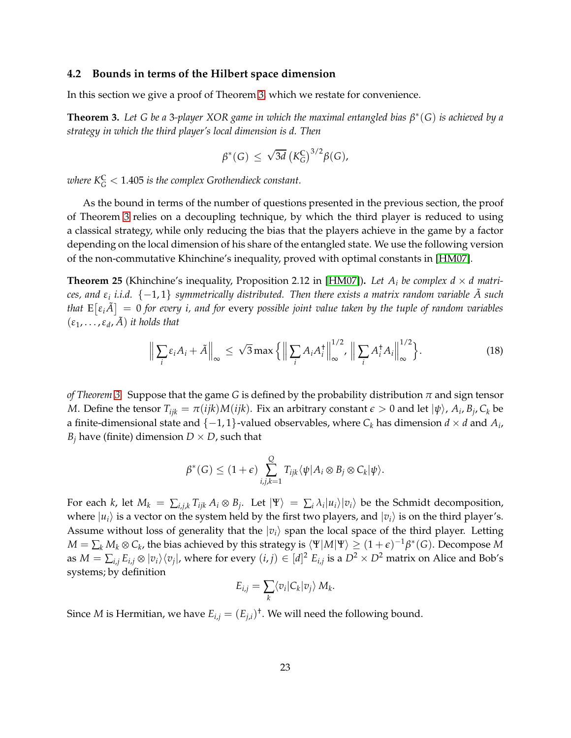### **4.2 Bounds in terms of the Hilbert space dimension**

In this section we give a proof of Theorem [3,](#page-3-3) which we restate for convenience.

**Theorem 3.** *Let G be a* 3*-player XOR game in which the maximal entangled bias β* ∗ (*G*) *is achieved by a strategy in which the third player's local dimension is d. Then*

$$
\beta^*(G) \, \leq \, \sqrt{3d} \left( K_G^{\mathbb{C}} \right)^{3/2} \beta(G),
$$

 $\omega$ here K $^{\mathbb{C}}_{G} < 1.405$  is the complex Grothendieck constant.

As the bound in terms of the number of questions presented in the previous section, the proof of Theorem [3](#page-3-3) relies on a decoupling technique, by which the third player is reduced to using a classical strategy, while only reducing the bias that the players achieve in the game by a factor depending on the local dimension of his share of the entangled state. We use the following version of the non-commutative Khinchine's inequality, proved with optimal constants in [\[HM07\]](#page-25-13).

<span id="page-22-0"></span>**Theorem 25** (Khinchine's inequality, Proposition 2.12 in [\[HM07\]](#page-25-13)). Let  $A_i$  be complex  $d \times d$  matri*ces, and ε<sup>i</sup> i.i.d.* {−1, 1} *symmetrically distributed. Then there exists a matrix random variable A such* ˜ that  $E\big[\varepsilon_i \tilde{A}\big] = 0$  for every *i, and for every possible joint value taken by the tuple of random variables*  $(\varepsilon_1, \ldots, \varepsilon_d, \tilde{A})$  *it holds that* 

<span id="page-22-1"></span>
$$
\left\| \sum_{i} \varepsilon_{i} A_{i} + \tilde{A} \right\|_{\infty} \leq \sqrt{3} \max \left\{ \left\| \sum_{i} A_{i} A_{i}^{\dagger} \right\|_{\infty}^{1/2}, \left\| \sum_{i} A_{i}^{\dagger} A_{i} \right\|_{\infty}^{1/2} \right\}.
$$
 (18)

*of Theorem [3.](#page-3-3)* Suppose that the game *G* is defined by the probability distribution *π* and sign tensor *M*. Define the tensor  $T_{ijk} = \pi(ijk)M(ijk)$ . Fix an arbitrary constant  $\epsilon > 0$  and let  $|\psi\rangle$ ,  $A_i$ ,  $B_j$ ,  $C_k$  be a finite-dimensional state and  $\{-1, 1\}$ -valued observables, where  $C_k$  has dimension  $d \times d$  and  $A_i$ , *B*<sup>*j*</sup> have (finite) dimension  $D \times D$ , such that

$$
\beta^*(G) \leq (1+\epsilon) \sum_{i,j,k=1}^Q T_{ijk} \langle \psi | A_i \otimes B_j \otimes C_k | \psi \rangle.
$$

For each k, let  $M_k = \sum_{i,j,k} T_{ijk} A_i \otimes B_j$ . Let  $|\Psi\rangle = \sum_i \lambda_i |u_i\rangle |v_i\rangle$  be the Schmidt decomposition, where  $|u_i\rangle$  is a vector on the system held by the first two players, and  $|v_i\rangle$  is on the third player's. Assume without loss of generality that the  $|v_i\rangle$  span the local space of the third player. Letting  $M = \sum_k M_k \otimes C_k$ , the bias achieved by this strategy is  $\langle \Psi | M | \Psi \rangle \ge (1+\epsilon)^{-1} \beta^*(G)$ . Decompose  $M$ as  $M=\sum_{i,j}E_{i,j}\otimes|v_i\rangle\langle v_j|$ , where for every  $(i,j)\in[d]^2$   $E_{i,j}$  is a  $D^2\times D^2$  matrix on Alice and Bob's systems; by definition

$$
E_{i,j} = \sum_{k} \langle v_i | C_k | v_j \rangle M_k.
$$

Since *M* is Hermitian, we have  $E_{i,j} = (E_{j,i})^{\dagger}$ . We will need the following bound.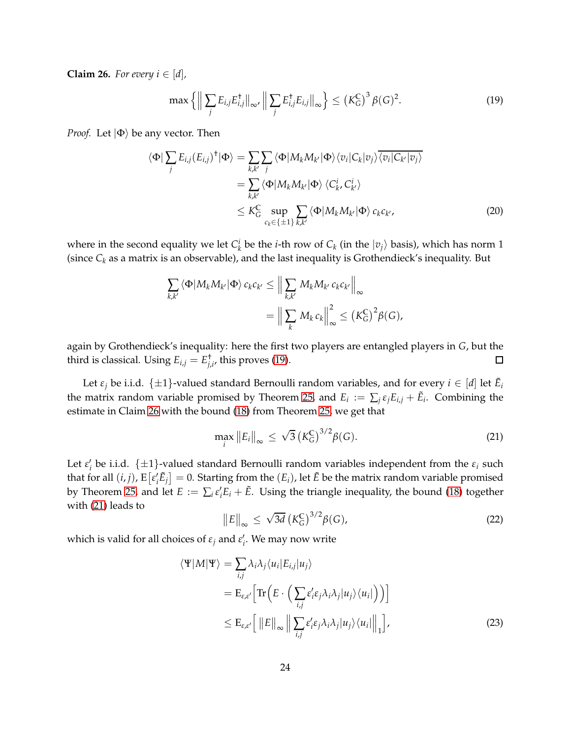<span id="page-23-1"></span>**Claim 26.** *For every*  $i \in [d]$ *,* 

<span id="page-23-0"></span>
$$
\max\left\{ \left\| \sum_{j} E_{i,j} E_{i,j}^{\dagger} \right\|_{\infty}, \left\| \sum_{j} E_{i,j}^{\dagger} E_{i,j} \right\|_{\infty} \right\} \leq \left(K_G^{\mathbb{C}}\right)^3 \beta(G)^2. \tag{19}
$$

*Proof.* Let  $|\Phi\rangle$  be any vector. Then

$$
\langle \Phi | \sum_{j} E_{i,j} (E_{i,j})^{\dagger} | \Phi \rangle = \sum_{k,k'} \sum_{j} \langle \Phi | M_{k} M_{k'} | \Phi \rangle \langle v_{i} | C_{k} | v_{j} \rangle \overline{\langle v_{i} | C_{k'} | v_{j} \rangle}
$$
  
\n
$$
= \sum_{k,k'} \langle \Phi | M_{k} M_{k'} | \Phi \rangle \langle C_{k}^{i}, C_{k'}^{i} \rangle
$$
  
\n
$$
\leq K_{G}^{C} \sup_{c_{k} \in \{\pm 1\}} \sum_{k,k'} \langle \Phi | M_{k} M_{k'} | \Phi \rangle c_{k} c_{k'},
$$
 (20)

where in the second equality we let  $C_k^i$  be the *i*-th row of  $C_k$  (in the  $|v_j\rangle$  basis), which has norm 1 (since  $C_k$  as a matrix is an observable), and the last inequality is Grothendieck's inequality. But

$$
\sum_{k,k'} \langle \Phi | M_k M_{k'} | \Phi \rangle c_k c_{k'} \leq \Big\| \sum_{k,k'} M_k M_{k'} c_k c_{k'} \Big\|_{\infty}
$$
  
=  $\Big\| \sum_k M_k c_k \Big\|_{\infty}^2 \leq (K_G^C)^2 \beta(G),$ 

again by Grothendieck's inequality: here the first two players are entangled players in *G*, but the third is classical. Using  $E_{i,j} = E_{j,i'}^{\dagger}$ , this proves [\(19\)](#page-23-0).  $\Box$ 

Let  $\varepsilon_j$  be i.i.d.  $\{\pm 1\}$ -valued standard Bernoulli random variables, and for every  $i \in [d]$  let  $\tilde{E}_i$ the matrix random variable promised by Theorem [25,](#page-22-0) and  $E_i := \sum_j \varepsilon_j E_{i,j} + \tilde{E}_i$ . Combining the estimate in Claim [26](#page-23-1) with the bound [\(18\)](#page-22-1) from Theorem [25,](#page-22-0) we get that

<span id="page-23-2"></span>
$$
\max_{i} \|E_{i}\|_{\infty} \leq \sqrt{3} \left(K_{G}^{\mathbb{C}}\right)^{3/2} \beta(G). \tag{21}
$$

Let  $\varepsilon'_i$  be i.i.d.  $\{\pm 1\}$ -valued standard Bernoulli random variables independent from the  $\varepsilon_i$  such that for all  $(i, j)$ ,  $E\big[\varepsilon'_i\tilde{E}_j\big]=0$ . Starting from the  $(E_i)$ , let  $\tilde{E}$  be the matrix random variable promised by Theorem [25,](#page-22-0) and let  $E := \sum_i \varepsilon'_i E_i + \tilde{E}$ . Using the triangle inequality, the bound [\(18\)](#page-22-1) together with [\(21\)](#page-23-2) leads to

<span id="page-23-3"></span>
$$
||E||_{\infty} \le \sqrt{3d} \left(K_G^{\mathbb{C}}\right)^{3/2} \beta(G), \tag{22}
$$

which is valid for all choices of *ε<sup>j</sup>* and *ε* ′ *i* . We may now write

$$
\langle \Psi | M | \Psi \rangle = \sum_{i,j} \lambda_i \lambda_j \langle u_i | E_{i,j} | u_j \rangle
$$
  
=  $E_{\varepsilon, \varepsilon'} \Big[ \text{Tr} \Big( E \cdot \Big( \sum_{i,j} \varepsilon_i' \varepsilon_j \lambda_i \lambda_j | u_j \rangle \langle u_i | \Big) \Big) \Big]$   

$$
\leq E_{\varepsilon, \varepsilon'} \Big[ ||E||_{\infty} || \sum_{i,j} \varepsilon_i' \varepsilon_j \lambda_i \lambda_j | u_j \rangle \langle u_i ||_{1} \Big], \qquad (23)
$$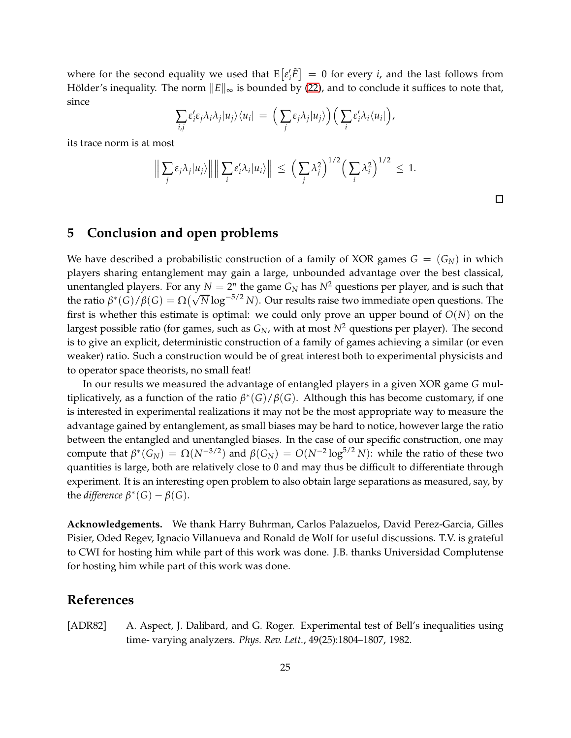where for the second equality we used that  $E[\varepsilon'_i \tilde{E}] = 0$  for every *i*, and the last follows from Hölder's inequality. The norm  $\Vert E \Vert_{\infty}$  is bounded by [\(22\)](#page-23-3), and to conclude it suffices to note that, since

$$
\sum_{i,j} \varepsilon_i' \varepsilon_j \lambda_i \lambda_j |u_j\rangle\langle u_i| = \left(\sum_j \varepsilon_j \lambda_j |u_j\rangle\right) \left(\sum_i \varepsilon_i' \lambda_i \langle u_i|\right),
$$

its trace norm is at most

$$
\left\|\sum_{j}\varepsilon_{j}\lambda_{j}|u_{j}\rangle\right\|\left\|\sum_{i}\varepsilon'_{i}\lambda_{i}|u_{i}\rangle\right\| \leq \left(\sum_{j}\lambda_{j}^{2}\right)^{1/2}\left(\sum_{i}\lambda_{i}^{2}\right)^{1/2} \leq 1.
$$

# <span id="page-24-1"></span>**5 Conclusion and open problems**

We have described a probabilistic construction of a family of XOR games  $G = (G_N)$  in which players sharing entanglement may gain a large, unbounded advantage over the best classical, unentangled players. For any  $N = 2^n$  the game  $G_N$  has  $N^2$  questions per player, and is such that the ratio  $\beta^*(G)/\beta(G) = \Omega(\sqrt{N} \log^{-5/2} N)$ . Our results raise two immediate open questions. The first is whether this estimate is optimal: we could only prove an upper bound of  $O(N)$  on the largest possible ratio (for games, such as  $G_N$ , with at most  $N^2$  questions per player). The second is to give an explicit, deterministic construction of a family of games achieving a similar (or even weaker) ratio. Such a construction would be of great interest both to experimental physicists and to operator space theorists, no small feat!

In our results we measured the advantage of entangled players in a given XOR game *G* multiplicatively, as a function of the ratio *β* ∗ (*G*)/*β*(*G*). Although this has become customary, if one is interested in experimental realizations it may not be the most appropriate way to measure the advantage gained by entanglement, as small biases may be hard to notice, however large the ratio between the entangled and unentangled biases. In the case of our specific construction, one may compute that  $β^*(G_N) = Ω(N^{-3/2})$  and  $β(G_N) = O(N^{-2} \log^{5/2} N)$ : while the ratio of these two quantities is large, both are relatively close to 0 and may thus be difficult to differentiate through experiment. It is an interesting open problem to also obtain large separations as measured, say, by the *difference*  $\beta^*(G) - \beta(G)$ .

**Acknowledgements.** We thank Harry Buhrman, Carlos Palazuelos, David Perez-Garcia, Gilles Pisier, Oded Regev, Ignacio Villanueva and Ronald de Wolf for useful discussions. T.V. is grateful to CWI for hosting him while part of this work was done. J.B. thanks Universidad Complutense for hosting him while part of this work was done.

### **References**

<span id="page-24-0"></span>[ADR82] A. Aspect, J. Dalibard, and G. Roger. Experimental test of Bell's inequalities using time- varying analyzers. *Phys. Rev. Lett.*, 49(25):1804–1807, 1982.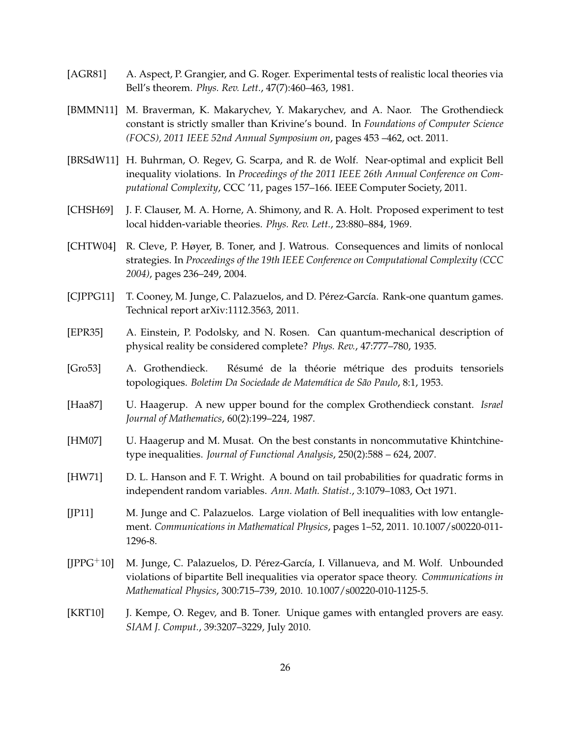- <span id="page-25-4"></span>[AGR81] A. Aspect, P. Grangier, and G. Roger. Experimental tests of realistic local theories via Bell's theorem. *Phys. Rev. Lett.*, 47(7):460–463, 1981.
- <span id="page-25-3"></span>[BMMN11] M. Braverman, K. Makarychev, Y. Makarychev, and A. Naor. The Grothendieck constant is strictly smaller than Krivine's bound. In *Foundations of Computer Science (FOCS), 2011 IEEE 52nd Annual Symposium on*, pages 453 –462, oct. 2011.
- <span id="page-25-8"></span>[BRSdW11] H. Buhrman, O. Regev, G. Scarpa, and R. de Wolf. Near-optimal and explicit Bell inequality violations. In *Proceedings of the 2011 IEEE 26th Annual Conference on Computational Complexity*, CCC '11, pages 157–166. IEEE Computer Society, 2011.
- <span id="page-25-1"></span>[CHSH69] J. F. Clauser, M. A. Horne, A. Shimony, and R. A. Holt. Proposed experiment to test local hidden-variable theories. *Phys. Rev. Lett.*, 23:880–884, 1969.
- <span id="page-25-0"></span>[CHTW04] R. Cleve, P. Høyer, B. Toner, and J. Watrous. Consequences and limits of nonlocal strategies. In *Proceedings of the 19th IEEE Conference on Computational Complexity (CCC 2004)*, pages 236–249, 2004.
- <span id="page-25-9"></span>[CJPPG11] T. Cooney, M. Junge, C. Palazuelos, and D. Pérez-García. Rank-one quantum games. Technical report arXiv:1112.3563, 2011.
- <span id="page-25-2"></span>[EPR35] A. Einstein, P. Podolsky, and N. Rosen. Can quantum-mechanical description of physical reality be considered complete? *Phys. Rev.*, 47:777–780, 1935.
- <span id="page-25-11"></span>[Gro53] A. Grothendieck. Résumé de la théorie métrique des produits tensoriels topologiques. *Boletim Da Sociedade de Matemática de São Paulo*, 8:1, 1953.
- <span id="page-25-12"></span>[Haa87] U. Haagerup. A new upper bound for the complex Grothendieck constant. *Israel Journal of Mathematics*, 60(2):199–224, 1987.
- <span id="page-25-13"></span>[HM07] U. Haagerup and M. Musat. On the best constants in noncommutative Khintchinetype inequalities. *Journal of Functional Analysis*, 250(2):588 – 624, 2007.
- <span id="page-25-10"></span>[HW71] D. L. Hanson and F. T. Wright. A bound on tail probabilities for quadratic forms in independent random variables. *Ann. Math. Statist.*, 3:1079–1083, Oct 1971.
- <span id="page-25-7"></span>[JP11] M. Junge and C. Palazuelos. Large violation of Bell inequalities with low entanglement. *Communications in Mathematical Physics*, pages 1–52, 2011. 10.1007/s00220-011- 1296-8.
- <span id="page-25-6"></span>[JPPG+10] M. Junge, C. Palazuelos, D. Pérez-García, I. Villanueva, and M. Wolf. Unbounded violations of bipartite Bell inequalities via operator space theory. *Communications in Mathematical Physics*, 300:715–739, 2010. 10.1007/s00220-010-1125-5.
- <span id="page-25-5"></span>[KRT10] J. Kempe, O. Regev, and B. Toner. Unique games with entangled provers are easy. *SIAM J. Comput.*, 39:3207–3229, July 2010.